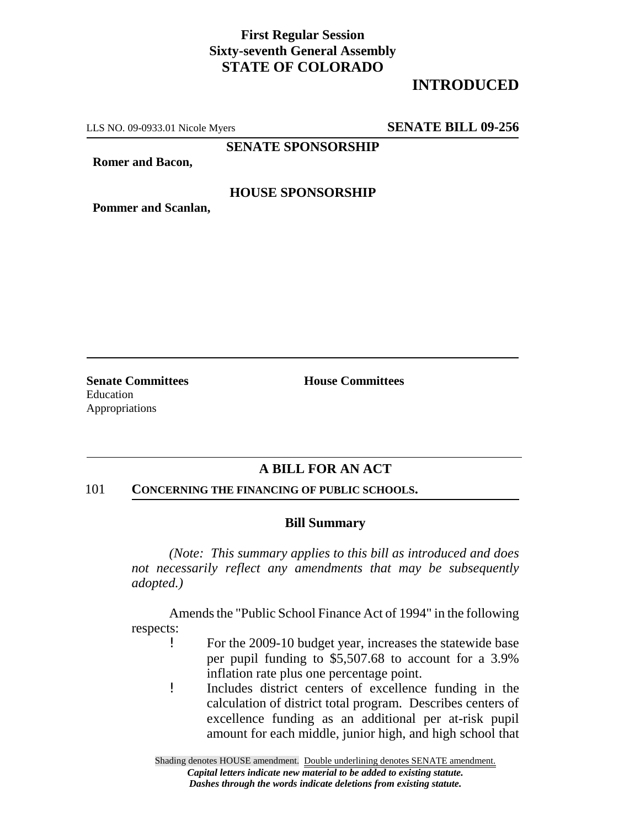## **First Regular Session Sixty-seventh General Assembly STATE OF COLORADO**

## **INTRODUCED**

LLS NO. 09-0933.01 Nicole Myers **SENATE BILL 09-256**

**SENATE SPONSORSHIP**

**Romer and Bacon,**

#### **HOUSE SPONSORSHIP**

**Pommer and Scanlan,**

**Senate Committees House Committees** Education Appropriations

### **A BILL FOR AN ACT**

#### 101 **CONCERNING THE FINANCING OF PUBLIC SCHOOLS.**

#### **Bill Summary**

*(Note: This summary applies to this bill as introduced and does not necessarily reflect any amendments that may be subsequently adopted.)*

Amends the "Public School Finance Act of 1994" in the following respects:

- ! For the 2009-10 budget year, increases the statewide base per pupil funding to \$5,507.68 to account for a 3.9% inflation rate plus one percentage point.
- ! Includes district centers of excellence funding in the calculation of district total program. Describes centers of excellence funding as an additional per at-risk pupil amount for each middle, junior high, and high school that

Shading denotes HOUSE amendment. Double underlining denotes SENATE amendment. *Capital letters indicate new material to be added to existing statute. Dashes through the words indicate deletions from existing statute.*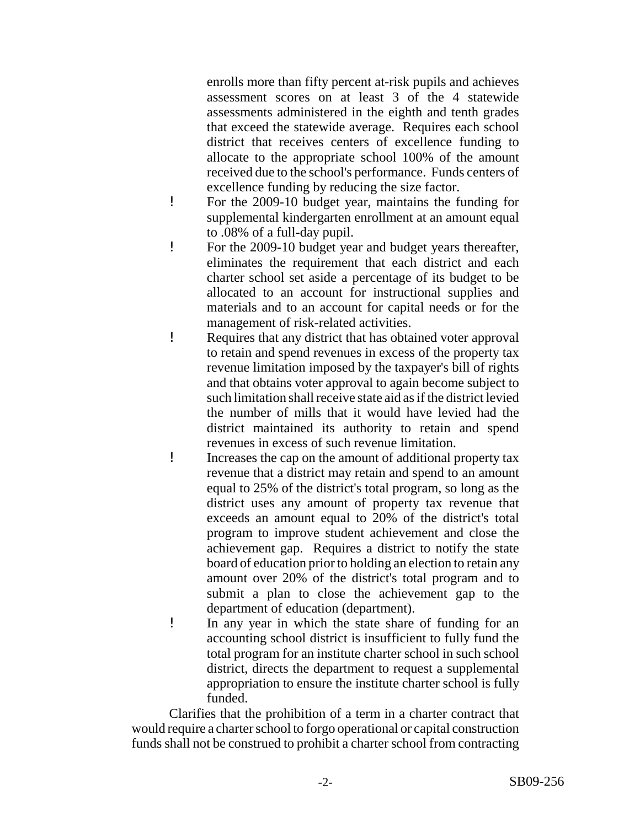enrolls more than fifty percent at-risk pupils and achieves assessment scores on at least 3 of the 4 statewide assessments administered in the eighth and tenth grades that exceed the statewide average. Requires each school district that receives centers of excellence funding to allocate to the appropriate school 100% of the amount received due to the school's performance. Funds centers of excellence funding by reducing the size factor.

- ! For the 2009-10 budget year, maintains the funding for supplemental kindergarten enrollment at an amount equal to .08% of a full-day pupil.
- ! For the 2009-10 budget year and budget years thereafter, eliminates the requirement that each district and each charter school set aside a percentage of its budget to be allocated to an account for instructional supplies and materials and to an account for capital needs or for the management of risk-related activities.
- ! Requires that any district that has obtained voter approval to retain and spend revenues in excess of the property tax revenue limitation imposed by the taxpayer's bill of rights and that obtains voter approval to again become subject to such limitation shall receive state aid as if the district levied the number of mills that it would have levied had the district maintained its authority to retain and spend revenues in excess of such revenue limitation.
- ! Increases the cap on the amount of additional property tax revenue that a district may retain and spend to an amount equal to 25% of the district's total program, so long as the district uses any amount of property tax revenue that exceeds an amount equal to 20% of the district's total program to improve student achievement and close the achievement gap. Requires a district to notify the state board of education prior to holding an election to retain any amount over 20% of the district's total program and to submit a plan to close the achievement gap to the department of education (department).
- ! In any year in which the state share of funding for an accounting school district is insufficient to fully fund the total program for an institute charter school in such school district, directs the department to request a supplemental appropriation to ensure the institute charter school is fully funded.

Clarifies that the prohibition of a term in a charter contract that would require a charter school to forgo operational or capital construction funds shall not be construed to prohibit a charter school from contracting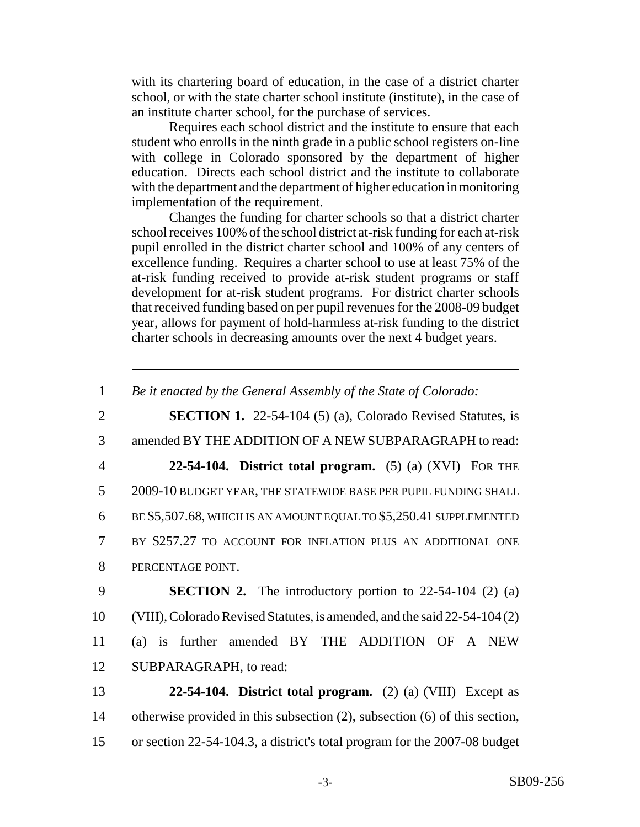with its chartering board of education, in the case of a district charter school, or with the state charter school institute (institute), in the case of an institute charter school, for the purchase of services.

Requires each school district and the institute to ensure that each student who enrolls in the ninth grade in a public school registers on-line with college in Colorado sponsored by the department of higher education. Directs each school district and the institute to collaborate with the department and the department of higher education in monitoring implementation of the requirement.

Changes the funding for charter schools so that a district charter school receives 100% of the school district at-risk funding for each at-risk pupil enrolled in the district charter school and 100% of any centers of excellence funding. Requires a charter school to use at least 75% of the at-risk funding received to provide at-risk student programs or staff development for at-risk student programs. For district charter schools that received funding based on per pupil revenues for the 2008-09 budget year, allows for payment of hold-harmless at-risk funding to the district charter schools in decreasing amounts over the next 4 budget years.

1 *Be it enacted by the General Assembly of the State of Colorado:*

 **SECTION 1.** 22-54-104 (5) (a), Colorado Revised Statutes, is amended BY THE ADDITION OF A NEW SUBPARAGRAPH to read: **22-54-104. District total program.** (5) (a) (XVI) FOR THE 2009-10 BUDGET YEAR, THE STATEWIDE BASE PER PUPIL FUNDING SHALL BE \$5,507.68, WHICH IS AN AMOUNT EQUAL TO \$5,250.41 SUPPLEMENTED BY \$257.27 TO ACCOUNT FOR INFLATION PLUS AN ADDITIONAL ONE PERCENTAGE POINT. **SECTION 2.** The introductory portion to 22-54-104 (2) (a) (VIII), Colorado Revised Statutes, is amended, and the said 22-54-104 (2) (a) is further amended BY THE ADDITION OF A NEW SUBPARAGRAPH, to read: **22-54-104. District total program.** (2) (a) (VIII) Except as

14 otherwise provided in this subsection (2), subsection (6) of this section, 15 or section 22-54-104.3, a district's total program for the 2007-08 budget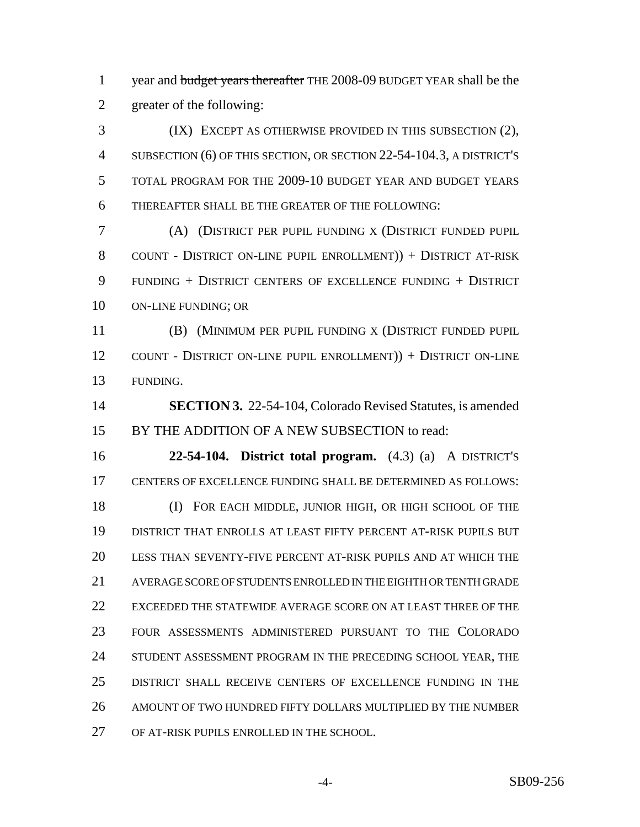1 year and budget years thereafter THE 2008-09 BUDGET YEAR shall be the greater of the following:

 (IX) EXCEPT AS OTHERWISE PROVIDED IN THIS SUBSECTION (2), SUBSECTION (6) OF THIS SECTION, OR SECTION 22-54-104.3, A DISTRICT'S TOTAL PROGRAM FOR THE 2009-10 BUDGET YEAR AND BUDGET YEARS THEREAFTER SHALL BE THE GREATER OF THE FOLLOWING:

 (A) (DISTRICT PER PUPIL FUNDING X (DISTRICT FUNDED PUPIL COUNT - DISTRICT ON-LINE PUPIL ENROLLMENT)) + DISTRICT AT-RISK FUNDING + DISTRICT CENTERS OF EXCELLENCE FUNDING + DISTRICT ON-LINE FUNDING; OR

 (B) (MINIMUM PER PUPIL FUNDING X (DISTRICT FUNDED PUPIL COUNT - DISTRICT ON-LINE PUPIL ENROLLMENT)) + DISTRICT ON-LINE FUNDING.

 **SECTION 3.** 22-54-104, Colorado Revised Statutes, is amended BY THE ADDITION OF A NEW SUBSECTION to read:

 **22-54-104. District total program.** (4.3) (a) A DISTRICT'S CENTERS OF EXCELLENCE FUNDING SHALL BE DETERMINED AS FOLLOWS: (I) FOR EACH MIDDLE, JUNIOR HIGH, OR HIGH SCHOOL OF THE DISTRICT THAT ENROLLS AT LEAST FIFTY PERCENT AT-RISK PUPILS BUT LESS THAN SEVENTY-FIVE PERCENT AT-RISK PUPILS AND AT WHICH THE AVERAGE SCORE OF STUDENTS ENROLLED IN THE EIGHTH OR TENTH GRADE

 EXCEEDED THE STATEWIDE AVERAGE SCORE ON AT LEAST THREE OF THE FOUR ASSESSMENTS ADMINISTERED PURSUANT TO THE COLORADO 24 STUDENT ASSESSMENT PROGRAM IN THE PRECEDING SCHOOL YEAR, THE DISTRICT SHALL RECEIVE CENTERS OF EXCELLENCE FUNDING IN THE AMOUNT OF TWO HUNDRED FIFTY DOLLARS MULTIPLIED BY THE NUMBER OF AT-RISK PUPILS ENROLLED IN THE SCHOOL.

-4- SB09-256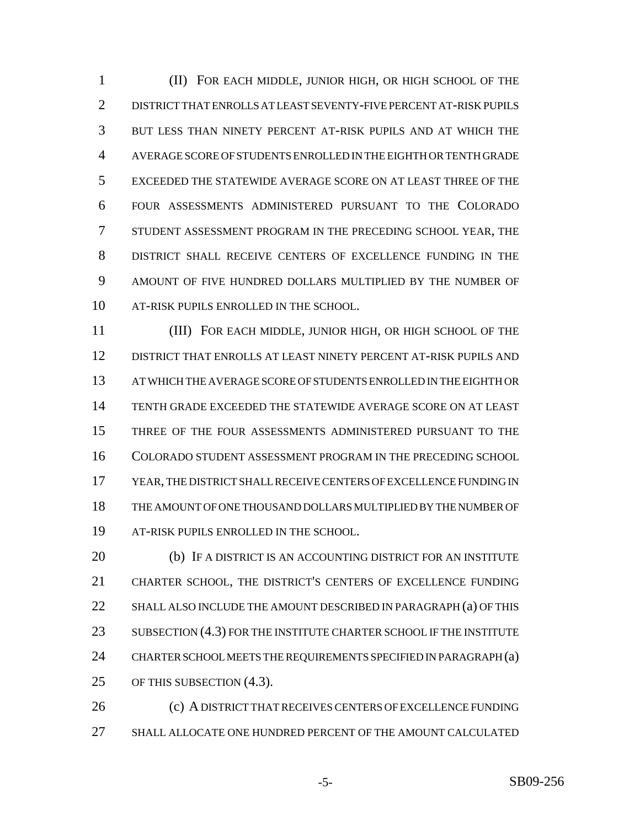(II) FOR EACH MIDDLE, JUNIOR HIGH, OR HIGH SCHOOL OF THE DISTRICT THAT ENROLLS AT LEAST SEVENTY-FIVE PERCENT AT-RISK PUPILS BUT LESS THAN NINETY PERCENT AT-RISK PUPILS AND AT WHICH THE AVERAGE SCORE OF STUDENTS ENROLLED IN THE EIGHTH OR TENTH GRADE EXCEEDED THE STATEWIDE AVERAGE SCORE ON AT LEAST THREE OF THE FOUR ASSESSMENTS ADMINISTERED PURSUANT TO THE COLORADO STUDENT ASSESSMENT PROGRAM IN THE PRECEDING SCHOOL YEAR, THE DISTRICT SHALL RECEIVE CENTERS OF EXCELLENCE FUNDING IN THE AMOUNT OF FIVE HUNDRED DOLLARS MULTIPLIED BY THE NUMBER OF AT-RISK PUPILS ENROLLED IN THE SCHOOL.

 (III) FOR EACH MIDDLE, JUNIOR HIGH, OR HIGH SCHOOL OF THE DISTRICT THAT ENROLLS AT LEAST NINETY PERCENT AT-RISK PUPILS AND AT WHICH THE AVERAGE SCORE OF STUDENTS ENROLLED IN THE EIGHTH OR TENTH GRADE EXCEEDED THE STATEWIDE AVERAGE SCORE ON AT LEAST THREE OF THE FOUR ASSESSMENTS ADMINISTERED PURSUANT TO THE COLORADO STUDENT ASSESSMENT PROGRAM IN THE PRECEDING SCHOOL YEAR, THE DISTRICT SHALL RECEIVE CENTERS OF EXCELLENCE FUNDING IN THE AMOUNT OF ONE THOUSAND DOLLARS MULTIPLIED BY THE NUMBER OF AT-RISK PUPILS ENROLLED IN THE SCHOOL.

20 (b) IF A DISTRICT IS AN ACCOUNTING DISTRICT FOR AN INSTITUTE CHARTER SCHOOL, THE DISTRICT'S CENTERS OF EXCELLENCE FUNDING 22 SHALL ALSO INCLUDE THE AMOUNT DESCRIBED IN PARAGRAPH (a) OF THIS 23 SUBSECTION (4.3) FOR THE INSTITUTE CHARTER SCHOOL IF THE INSTITUTE CHARTER SCHOOL MEETS THE REQUIREMENTS SPECIFIED IN PARAGRAPH (a) OF THIS SUBSECTION (4.3).

 (c) A DISTRICT THAT RECEIVES CENTERS OF EXCELLENCE FUNDING SHALL ALLOCATE ONE HUNDRED PERCENT OF THE AMOUNT CALCULATED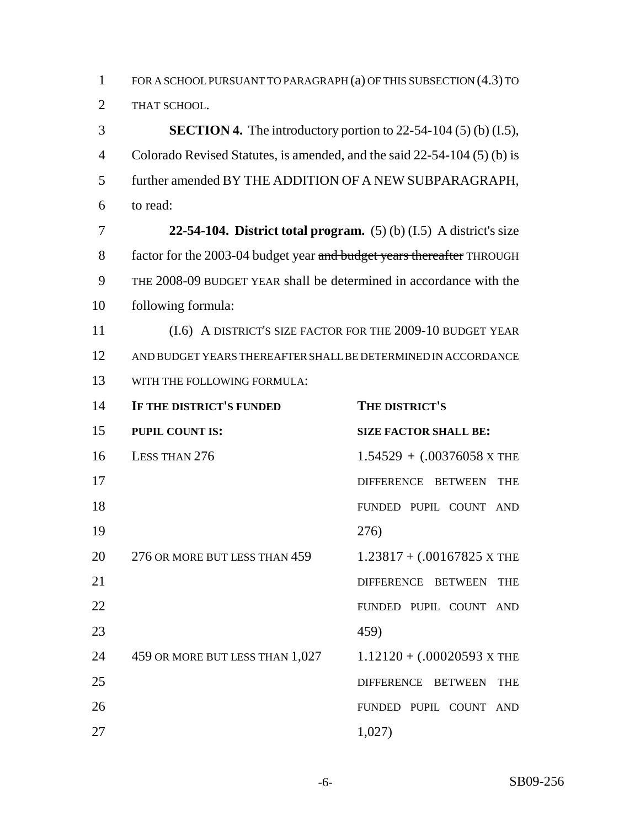FOR A SCHOOL PURSUANT TO PARAGRAPH (a) OF THIS SUBSECTION (4.3) TO THAT SCHOOL.

**SECTION 4.** The introductory portion to 22-54-104 (5) (b) (I.5), Colorado Revised Statutes, is amended, and the said 22-54-104 (5) (b) is further amended BY THE ADDITION OF A NEW SUBPARAGRAPH, to read:

 **22-54-104. District total program.** (5) (b) (I.5) A district's size 8 factor for the 2003-04 budget year and budget years thereafter THROUGH THE 2008-09 BUDGET YEAR shall be determined in accordance with the following formula:

 (I.6) A DISTRICT'S SIZE FACTOR FOR THE 2009-10 BUDGET YEAR AND BUDGET YEARS THEREAFTER SHALL BE DETERMINED IN ACCORDANCE WITH THE FOLLOWING FORMULA:

| 14 | IF THE DISTRICT'S FUNDED        | THE DISTRICT'S                             |
|----|---------------------------------|--------------------------------------------|
| 15 | <b>PUPIL COUNT IS:</b>          | <b>SIZE FACTOR SHALL BE:</b>               |
| 16 | LESS THAN 276                   | $1.54529 + (0.00376058 \times \text{THE})$ |
| 17 |                                 | DIFFERENCE BETWEEN<br><b>THE</b>           |
| 18 |                                 | FUNDED PUPIL COUNT AND                     |
| 19 |                                 | 276)                                       |
| 20 | 276 OR MORE BUT LESS THAN 459   | $1.23817 + (.00167825 \times \text{THE}$   |
| 21 |                                 | DIFFERENCE BETWEEN THE                     |
| 22 |                                 | FUNDED PUPIL COUNT AND                     |
| 23 |                                 | 459)                                       |
| 24 | 459 OR MORE BUT LESS THAN 1,027 | $1.12120 + (.00020593 \text{ X}$ THE       |
| 25 |                                 | DIFFERENCE BETWEEN THE                     |
| 26 |                                 | FUNDED PUPIL COUNT AND                     |
| 27 |                                 | 1,027)                                     |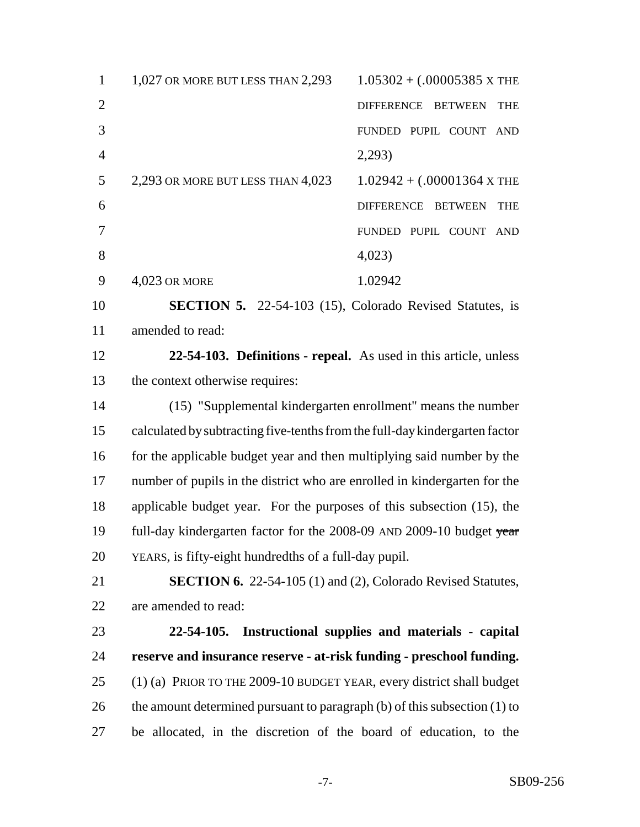| $\mathbf{1}$   | 1,027 OR MORE BUT LESS THAN 2,293                                           | $1.05302 + (.00005385 \times \text{THE})$ |
|----------------|-----------------------------------------------------------------------------|-------------------------------------------|
| $\overline{2}$ |                                                                             | DIFFERENCE BETWEEN<br><b>THE</b>          |
| 3              |                                                                             | FUNDED PUPIL COUNT<br><b>AND</b>          |
| $\overline{4}$ |                                                                             | 2,293                                     |
| 5              | 2,293 OR MORE BUT LESS THAN 4,023                                           | $1.02942 + (.00001364 \text{ x}$ THE      |
| 6              |                                                                             | DIFFERENCE BETWEEN<br><b>THE</b>          |
| 7              |                                                                             | FUNDED PUPIL COUNT<br><b>AND</b>          |
| 8              |                                                                             | 4,023                                     |
| 9              | 4,023 OR MORE                                                               | 1.02942                                   |
| 10             | <b>SECTION 5.</b> 22-54-103 (15), Colorado Revised Statutes, is             |                                           |
| 11             | amended to read:                                                            |                                           |
| 12             | 22-54-103. Definitions - repeal. As used in this article, unless            |                                           |
| 13             | the context otherwise requires:                                             |                                           |
| 14             | (15) "Supplemental kindergarten enrollment" means the number                |                                           |
| 15             | calculated by subtracting five-tenths from the full-day kindergarten factor |                                           |
| 16             | for the applicable budget year and then multiplying said number by the      |                                           |
| 17             | number of pupils in the district who are enrolled in kindergarten for the   |                                           |
| 18             | applicable budget year. For the purposes of this subsection (15), the       |                                           |
| 19             | full-day kindergarten factor for the 2008-09 AND 2009-10 budget year        |                                           |
| 20             | YEARS, is fifty-eight hundredths of a full-day pupil.                       |                                           |
|                |                                                                             |                                           |

 **SECTION 6.** 22-54-105 (1) and (2), Colorado Revised Statutes, are amended to read:

 **22-54-105. Instructional supplies and materials - capital reserve and insurance reserve - at-risk funding - preschool funding.** (1) (a) PRIOR TO THE 2009-10 BUDGET YEAR, every district shall budget 26 the amount determined pursuant to paragraph (b) of this subsection (1) to be allocated, in the discretion of the board of education, to the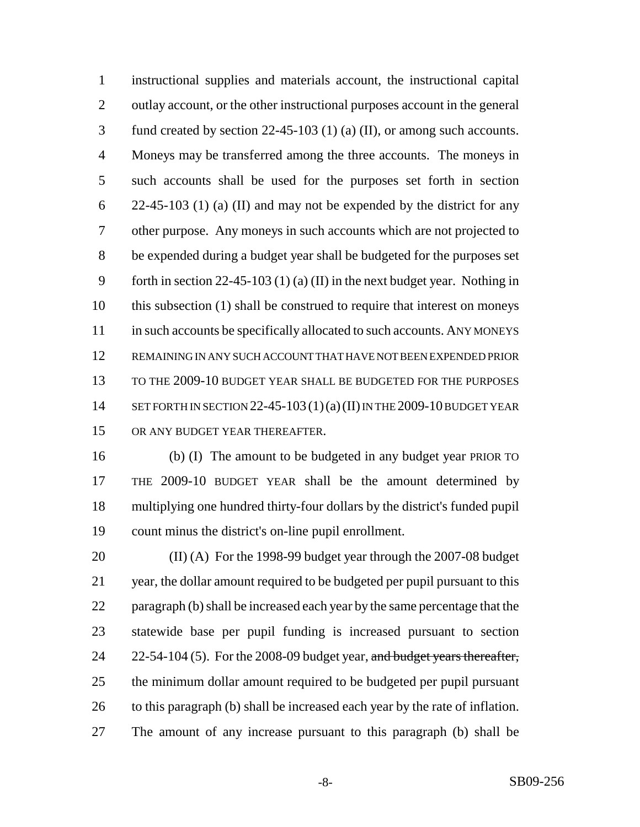instructional supplies and materials account, the instructional capital outlay account, or the other instructional purposes account in the general fund created by section 22-45-103 (1) (a) (II), or among such accounts. Moneys may be transferred among the three accounts. The moneys in such accounts shall be used for the purposes set forth in section 22-45-103 (1) (a) (II) and may not be expended by the district for any other purpose. Any moneys in such accounts which are not projected to be expended during a budget year shall be budgeted for the purposes set forth in section 22-45-103 (1) (a) (II) in the next budget year. Nothing in this subsection (1) shall be construed to require that interest on moneys 11 in such accounts be specifically allocated to such accounts. ANY MONEYS REMAINING IN ANY SUCH ACCOUNT THAT HAVE NOT BEEN EXPENDED PRIOR TO THE 2009-10 BUDGET YEAR SHALL BE BUDGETED FOR THE PURPOSES 14 SET FORTH IN SECTION 22-45-103  $(1)(a)(II)$  IN THE 2009-10 BUDGET YEAR OR ANY BUDGET YEAR THEREAFTER.

 (b) (I) The amount to be budgeted in any budget year PRIOR TO THE 2009-10 BUDGET YEAR shall be the amount determined by multiplying one hundred thirty-four dollars by the district's funded pupil count minus the district's on-line pupil enrollment.

 (II) (A) For the 1998-99 budget year through the 2007-08 budget year, the dollar amount required to be budgeted per pupil pursuant to this paragraph (b) shall be increased each year by the same percentage that the statewide base per pupil funding is increased pursuant to section 24 22-54-104 (5). For the 2008-09 budget year, and budget years thereafter, the minimum dollar amount required to be budgeted per pupil pursuant 26 to this paragraph (b) shall be increased each year by the rate of inflation. The amount of any increase pursuant to this paragraph (b) shall be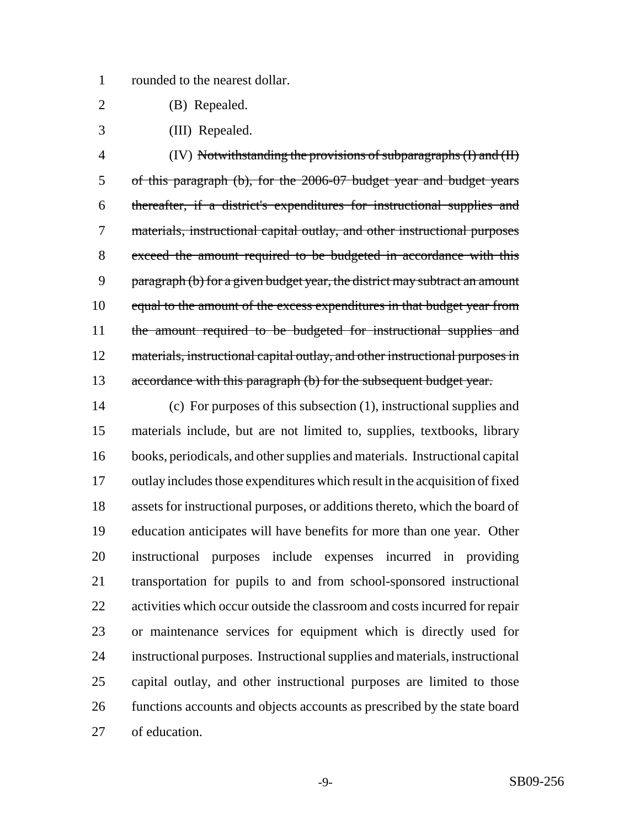rounded to the nearest dollar.

- (B) Repealed.
- (III) Repealed.

 (IV) Notwithstanding the provisions of subparagraphs (I) and (II) of this paragraph (b), for the 2006-07 budget year and budget years thereafter, if a district's expenditures for instructional supplies and materials, instructional capital outlay, and other instructional purposes exceed the amount required to be budgeted in accordance with this 9 paragraph (b) for a given budget year, the district may subtract an amount 10 equal to the amount of the excess expenditures in that budget year from 11 the amount required to be budgeted for instructional supplies and 12 materials, instructional capital outlay, and other instructional purposes in 13 accordance with this paragraph (b) for the subsequent budget year.

 (c) For purposes of this subsection (1), instructional supplies and materials include, but are not limited to, supplies, textbooks, library books, periodicals, and other supplies and materials. Instructional capital outlay includes those expenditures which result in the acquisition of fixed assets for instructional purposes, or additions thereto, which the board of education anticipates will have benefits for more than one year. Other instructional purposes include expenses incurred in providing transportation for pupils to and from school-sponsored instructional activities which occur outside the classroom and costs incurred for repair or maintenance services for equipment which is directly used for instructional purposes. Instructional supplies and materials, instructional capital outlay, and other instructional purposes are limited to those functions accounts and objects accounts as prescribed by the state board of education.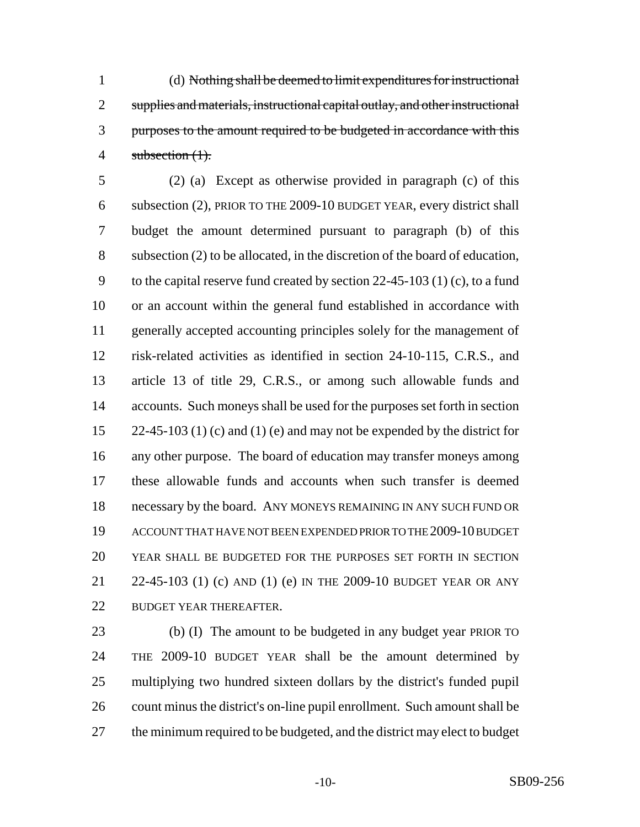(d) Nothing shall be deemed to limit expenditures for instructional supplies and materials, instructional capital outlay, and other instructional purposes to the amount required to be budgeted in accordance with this 4 subsection (1).

 (2) (a) Except as otherwise provided in paragraph (c) of this subsection (2), PRIOR TO THE 2009-10 BUDGET YEAR, every district shall budget the amount determined pursuant to paragraph (b) of this subsection (2) to be allocated, in the discretion of the board of education, to the capital reserve fund created by section 22-45-103 (1) (c), to a fund or an account within the general fund established in accordance with generally accepted accounting principles solely for the management of risk-related activities as identified in section 24-10-115, C.R.S., and article 13 of title 29, C.R.S., or among such allowable funds and accounts. Such moneys shall be used for the purposes set forth in section  $22-45-103$  (1) (c) and (1) (e) and may not be expended by the district for any other purpose. The board of education may transfer moneys among these allowable funds and accounts when such transfer is deemed necessary by the board. ANY MONEYS REMAINING IN ANY SUCH FUND OR ACCOUNT THAT HAVE NOT BEEN EXPENDED PRIOR TO THE 2009-10 BUDGET YEAR SHALL BE BUDGETED FOR THE PURPOSES SET FORTH IN SECTION 22-45-103 (1) (c) AND (1) (e) IN THE 2009-10 BUDGET YEAR OR ANY 22 BUDGET YEAR THEREAFTER.

 (b) (I) The amount to be budgeted in any budget year PRIOR TO THE 2009-10 BUDGET YEAR shall be the amount determined by multiplying two hundred sixteen dollars by the district's funded pupil count minus the district's on-line pupil enrollment. Such amount shall be the minimum required to be budgeted, and the district may elect to budget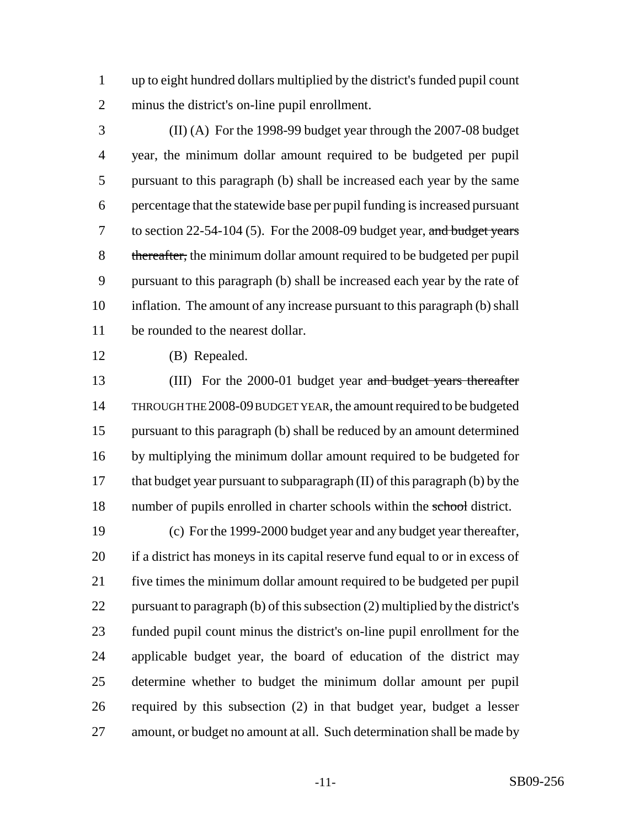up to eight hundred dollars multiplied by the district's funded pupil count minus the district's on-line pupil enrollment.

 (II) (A) For the 1998-99 budget year through the 2007-08 budget year, the minimum dollar amount required to be budgeted per pupil pursuant to this paragraph (b) shall be increased each year by the same percentage that the statewide base per pupil funding is increased pursuant 7 to section  $22-54-104$  (5). For the 2008-09 budget year, and budget years 8 thereafter, the minimum dollar amount required to be budgeted per pupil pursuant to this paragraph (b) shall be increased each year by the rate of inflation. The amount of any increase pursuant to this paragraph (b) shall be rounded to the nearest dollar.

(B) Repealed.

13 (III) For the 2000-01 budget year and budget years thereafter THROUGH THE 2008-09 BUDGET YEAR, the amount required to be budgeted pursuant to this paragraph (b) shall be reduced by an amount determined by multiplying the minimum dollar amount required to be budgeted for that budget year pursuant to subparagraph (II) of this paragraph (b) by the 18 number of pupils enrolled in charter schools within the school district.

 (c) For the 1999-2000 budget year and any budget year thereafter, if a district has moneys in its capital reserve fund equal to or in excess of five times the minimum dollar amount required to be budgeted per pupil pursuant to paragraph (b) of this subsection (2) multiplied by the district's funded pupil count minus the district's on-line pupil enrollment for the applicable budget year, the board of education of the district may determine whether to budget the minimum dollar amount per pupil required by this subsection (2) in that budget year, budget a lesser amount, or budget no amount at all. Such determination shall be made by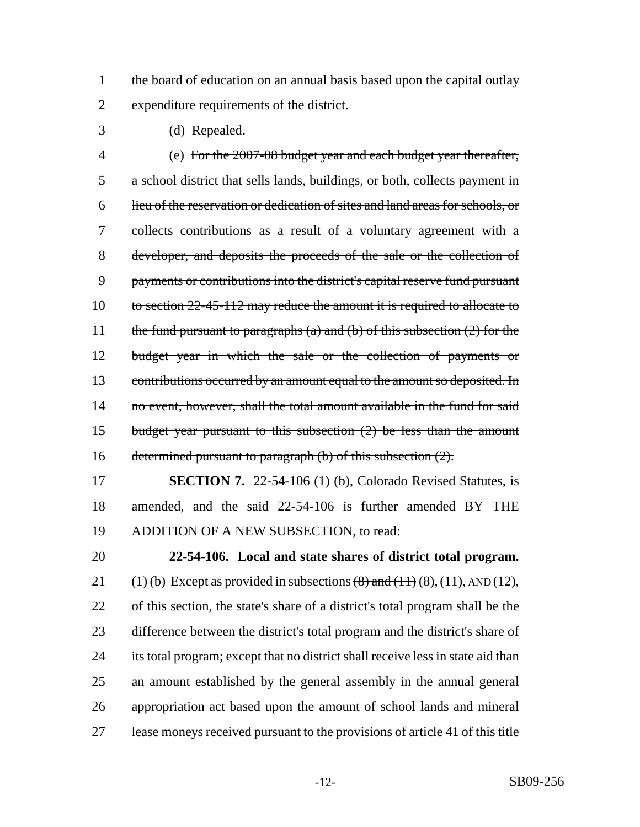1 the board of education on an annual basis based upon the capital outlay expenditure requirements of the district.

(d) Repealed.

 (e) For the 2007-08 budget year and each budget year thereafter, a school district that sells lands, buildings, or both, collects payment in lieu of the reservation or dedication of sites and land areas for schools, or collects contributions as a result of a voluntary agreement with a developer, and deposits the proceeds of the sale or the collection of payments or contributions into the district's capital reserve fund pursuant 10 to section 22-45-112 may reduce the amount it is required to allocate to 11 the fund pursuant to paragraphs (a) and (b) of this subsection  $(2)$  for the budget year in which the sale or the collection of payments or 13 contributions occurred by an amount equal to the amount so deposited. In 14 no event, however, shall the total amount available in the fund for said budget year pursuant to this subsection (2) be less than the amount 16 determined pursuant to paragraph (b) of this subsection  $(2)$ .

 **SECTION 7.** 22-54-106 (1) (b), Colorado Revised Statutes, is amended, and the said 22-54-106 is further amended BY THE ADDITION OF A NEW SUBSECTION, to read:

 **22-54-106. Local and state shares of district total program.** 21 (1) (b) Except as provided in subsections  $(8)$  and  $(11)$   $(8)$ ,  $(11)$ , AND  $(12)$ , of this section, the state's share of a district's total program shall be the difference between the district's total program and the district's share of its total program; except that no district shall receive less in state aid than an amount established by the general assembly in the annual general appropriation act based upon the amount of school lands and mineral lease moneys received pursuant to the provisions of article 41 of this title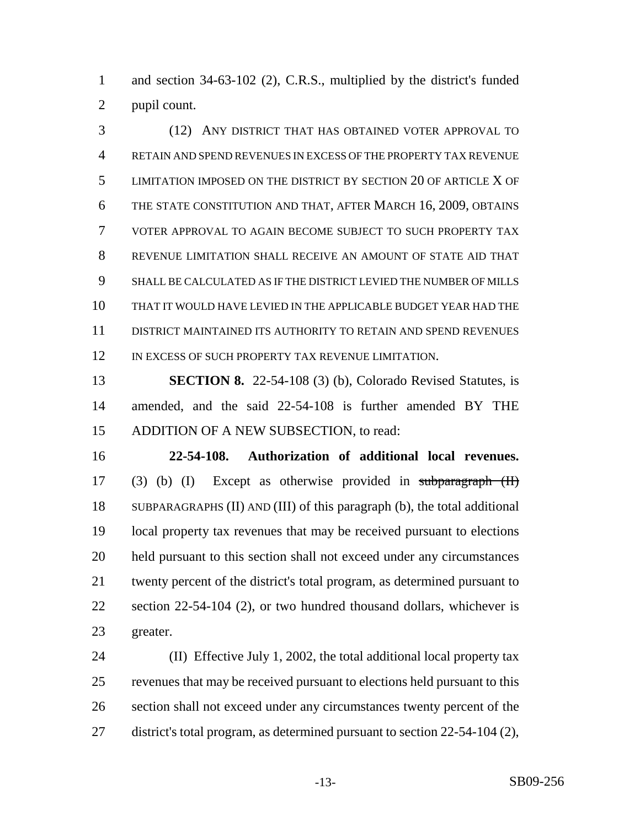and section 34-63-102 (2), C.R.S., multiplied by the district's funded pupil count.

 (12) ANY DISTRICT THAT HAS OBTAINED VOTER APPROVAL TO RETAIN AND SPEND REVENUES IN EXCESS OF THE PROPERTY TAX REVENUE LIMITATION IMPOSED ON THE DISTRICT BY SECTION 20 OF ARTICLE X OF THE STATE CONSTITUTION AND THAT, AFTER MARCH 16, 2009, OBTAINS VOTER APPROVAL TO AGAIN BECOME SUBJECT TO SUCH PROPERTY TAX REVENUE LIMITATION SHALL RECEIVE AN AMOUNT OF STATE AID THAT SHALL BE CALCULATED AS IF THE DISTRICT LEVIED THE NUMBER OF MILLS THAT IT WOULD HAVE LEVIED IN THE APPLICABLE BUDGET YEAR HAD THE DISTRICT MAINTAINED ITS AUTHORITY TO RETAIN AND SPEND REVENUES 12 IN EXCESS OF SUCH PROPERTY TAX REVENUE LIMITATION.

 **SECTION 8.** 22-54-108 (3) (b), Colorado Revised Statutes, is amended, and the said 22-54-108 is further amended BY THE ADDITION OF A NEW SUBSECTION, to read:

 **22-54-108. Authorization of additional local revenues.** (3) (b) (I) Except as otherwise provided in subparagraph (II) SUBPARAGRAPHS (II) AND (III) of this paragraph (b), the total additional local property tax revenues that may be received pursuant to elections held pursuant to this section shall not exceed under any circumstances twenty percent of the district's total program, as determined pursuant to 22 section 22-54-104 (2), or two hundred thousand dollars, whichever is greater.

 (II) Effective July 1, 2002, the total additional local property tax revenues that may be received pursuant to elections held pursuant to this section shall not exceed under any circumstances twenty percent of the district's total program, as determined pursuant to section 22-54-104 (2),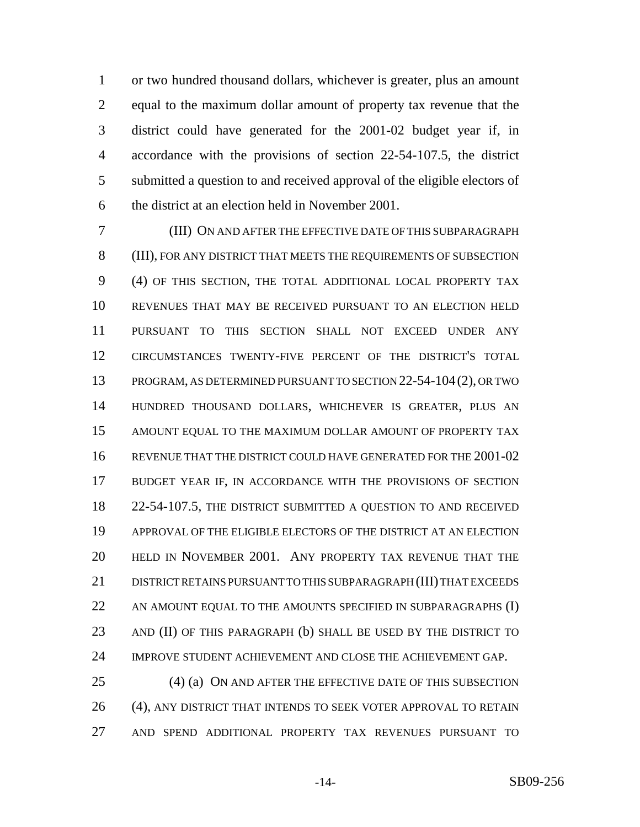or two hundred thousand dollars, whichever is greater, plus an amount equal to the maximum dollar amount of property tax revenue that the district could have generated for the 2001-02 budget year if, in accordance with the provisions of section 22-54-107.5, the district submitted a question to and received approval of the eligible electors of the district at an election held in November 2001.

 (III) ON AND AFTER THE EFFECTIVE DATE OF THIS SUBPARAGRAPH (III), FOR ANY DISTRICT THAT MEETS THE REQUIREMENTS OF SUBSECTION (4) OF THIS SECTION, THE TOTAL ADDITIONAL LOCAL PROPERTY TAX REVENUES THAT MAY BE RECEIVED PURSUANT TO AN ELECTION HELD PURSUANT TO THIS SECTION SHALL NOT EXCEED UNDER ANY CIRCUMSTANCES TWENTY-FIVE PERCENT OF THE DISTRICT'S TOTAL PROGRAM, AS DETERMINED PURSUANT TO SECTION 22-54-104(2), OR TWO HUNDRED THOUSAND DOLLARS, WHICHEVER IS GREATER, PLUS AN AMOUNT EQUAL TO THE MAXIMUM DOLLAR AMOUNT OF PROPERTY TAX REVENUE THAT THE DISTRICT COULD HAVE GENERATED FOR THE 2001-02 BUDGET YEAR IF, IN ACCORDANCE WITH THE PROVISIONS OF SECTION 22-54-107.5, THE DISTRICT SUBMITTED A QUESTION TO AND RECEIVED APPROVAL OF THE ELIGIBLE ELECTORS OF THE DISTRICT AT AN ELECTION HELD IN NOVEMBER 2001. ANY PROPERTY TAX REVENUE THAT THE 21 DISTRICT RETAINS PURSUANT TO THIS SUBPARAGRAPH (III) THAT EXCEEDS 22 AN AMOUNT EQUAL TO THE AMOUNTS SPECIFIED IN SUBPARAGRAPHS (I) 23 AND (II) OF THIS PARAGRAPH (b) SHALL BE USED BY THE DISTRICT TO IMPROVE STUDENT ACHIEVEMENT AND CLOSE THE ACHIEVEMENT GAP.

25 (4) (a) ON AND AFTER THE EFFECTIVE DATE OF THIS SUBSECTION 26 (4), ANY DISTRICT THAT INTENDS TO SEEK VOTER APPROVAL TO RETAIN AND SPEND ADDITIONAL PROPERTY TAX REVENUES PURSUANT TO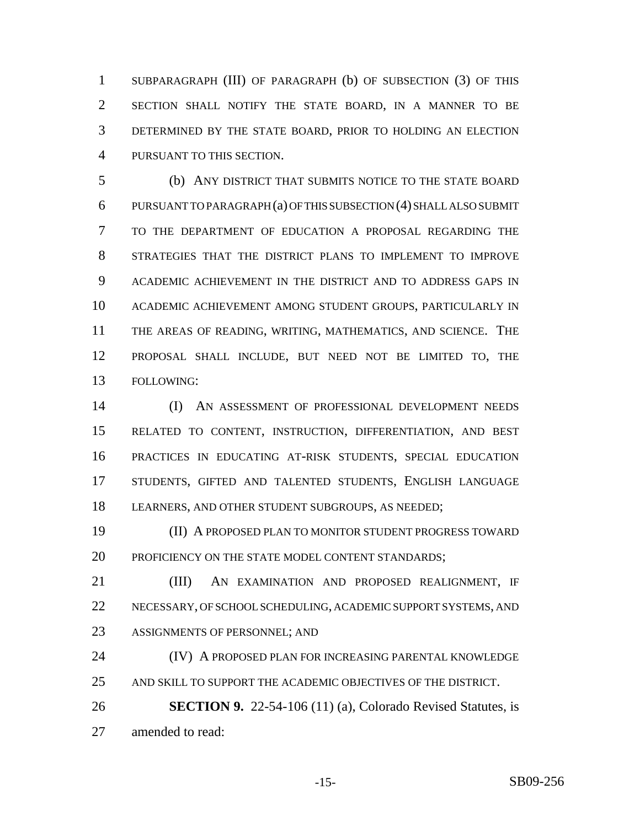SUBPARAGRAPH (III) OF PARAGRAPH (b) OF SUBSECTION (3) OF THIS SECTION SHALL NOTIFY THE STATE BOARD, IN A MANNER TO BE DETERMINED BY THE STATE BOARD, PRIOR TO HOLDING AN ELECTION PURSUANT TO THIS SECTION.

 (b) ANY DISTRICT THAT SUBMITS NOTICE TO THE STATE BOARD PURSUANT TO PARAGRAPH (a) OF THIS SUBSECTION (4) SHALL ALSO SUBMIT TO THE DEPARTMENT OF EDUCATION A PROPOSAL REGARDING THE STRATEGIES THAT THE DISTRICT PLANS TO IMPLEMENT TO IMPROVE ACADEMIC ACHIEVEMENT IN THE DISTRICT AND TO ADDRESS GAPS IN ACADEMIC ACHIEVEMENT AMONG STUDENT GROUPS, PARTICULARLY IN THE AREAS OF READING, WRITING, MATHEMATICS, AND SCIENCE. THE PROPOSAL SHALL INCLUDE, BUT NEED NOT BE LIMITED TO, THE FOLLOWING:

 (I) AN ASSESSMENT OF PROFESSIONAL DEVELOPMENT NEEDS RELATED TO CONTENT, INSTRUCTION, DIFFERENTIATION, AND BEST PRACTICES IN EDUCATING AT-RISK STUDENTS, SPECIAL EDUCATION STUDENTS, GIFTED AND TALENTED STUDENTS, ENGLISH LANGUAGE LEARNERS, AND OTHER STUDENT SUBGROUPS, AS NEEDED;

 (II) A PROPOSED PLAN TO MONITOR STUDENT PROGRESS TOWARD 20 PROFICIENCY ON THE STATE MODEL CONTENT STANDARDS;

 (III) AN EXAMINATION AND PROPOSED REALIGNMENT, IF NECESSARY, OF SCHOOL SCHEDULING, ACADEMIC SUPPORT SYSTEMS, AND ASSIGNMENTS OF PERSONNEL; AND

 (IV) A PROPOSED PLAN FOR INCREASING PARENTAL KNOWLEDGE AND SKILL TO SUPPORT THE ACADEMIC OBJECTIVES OF THE DISTRICT.

 **SECTION 9.** 22-54-106 (11) (a), Colorado Revised Statutes, is amended to read: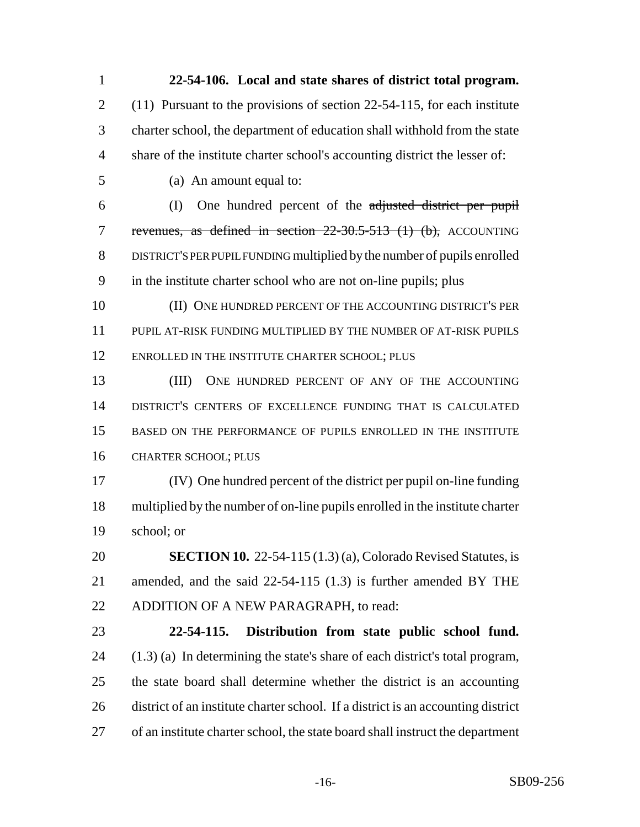**22-54-106. Local and state shares of district total program.** (11) Pursuant to the provisions of section 22-54-115, for each institute charter school, the department of education shall withhold from the state share of the institute charter school's accounting district the lesser of: (a) An amount equal to: (I) One hundred percent of the adjusted district per pupil 7 revenues, as defined in section 22-30.5-513 (1) (b), ACCOUNTING DISTRICT'S PER PUPIL FUNDING multiplied by the number of pupils enrolled in the institute charter school who are not on-line pupils; plus (II) ONE HUNDRED PERCENT OF THE ACCOUNTING DISTRICT'S PER PUPIL AT-RISK FUNDING MULTIPLIED BY THE NUMBER OF AT-RISK PUPILS 12 ENROLLED IN THE INSTITUTE CHARTER SCHOOL; PLUS (III) ONE HUNDRED PERCENT OF ANY OF THE ACCOUNTING DISTRICT'S CENTERS OF EXCELLENCE FUNDING THAT IS CALCULATED BASED ON THE PERFORMANCE OF PUPILS ENROLLED IN THE INSTITUTE CHARTER SCHOOL; PLUS (IV) One hundred percent of the district per pupil on-line funding multiplied by the number of on-line pupils enrolled in the institute charter school; or **SECTION 10.** 22-54-115 (1.3) (a), Colorado Revised Statutes, is amended, and the said 22-54-115 (1.3) is further amended BY THE 22 ADDITION OF A NEW PARAGRAPH, to read: **22-54-115. Distribution from state public school fund.** (1.3) (a) In determining the state's share of each district's total program, the state board shall determine whether the district is an accounting district of an institute charter school. If a district is an accounting district of an institute charter school, the state board shall instruct the department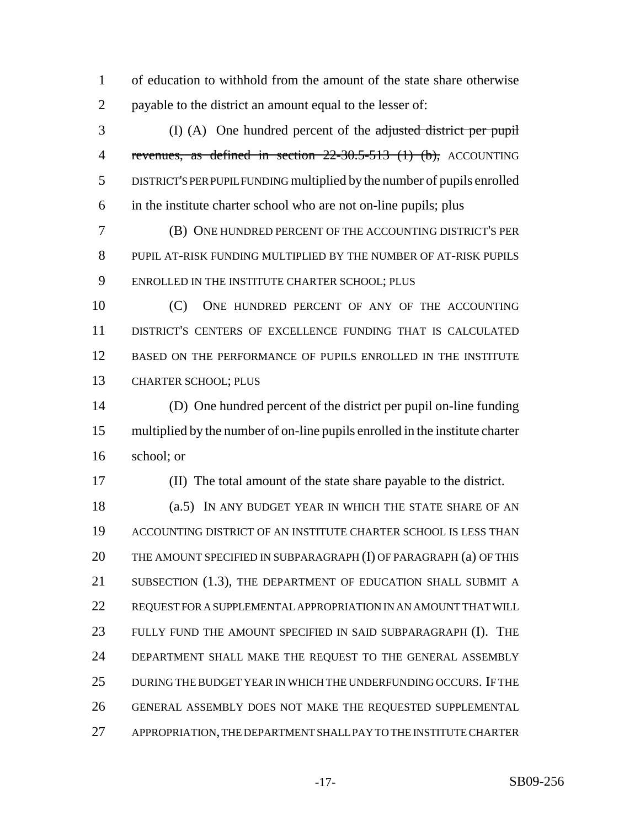of education to withhold from the amount of the state share otherwise payable to the district an amount equal to the lesser of:

 (I) (A) One hundred percent of the adjusted district per pupil 4 revenues, as defined in section 22-30.5-513 (1) (b), ACCOUNTING DISTRICT'S PER PUPIL FUNDING multiplied by the number of pupils enrolled in the institute charter school who are not on-line pupils; plus

 (B) ONE HUNDRED PERCENT OF THE ACCOUNTING DISTRICT'S PER PUPIL AT-RISK FUNDING MULTIPLIED BY THE NUMBER OF AT-RISK PUPILS ENROLLED IN THE INSTITUTE CHARTER SCHOOL; PLUS

10 (C) ONE HUNDRED PERCENT OF ANY OF THE ACCOUNTING DISTRICT'S CENTERS OF EXCELLENCE FUNDING THAT IS CALCULATED BASED ON THE PERFORMANCE OF PUPILS ENROLLED IN THE INSTITUTE CHARTER SCHOOL; PLUS

 (D) One hundred percent of the district per pupil on-line funding multiplied by the number of on-line pupils enrolled in the institute charter school; or

(II) The total amount of the state share payable to the district.

18 (a.5) IN ANY BUDGET YEAR IN WHICH THE STATE SHARE OF AN ACCOUNTING DISTRICT OF AN INSTITUTE CHARTER SCHOOL IS LESS THAN 20 THE AMOUNT SPECIFIED IN SUBPARAGRAPH (I) OF PARAGRAPH (a) OF THIS 21 SUBSECTION (1.3), THE DEPARTMENT OF EDUCATION SHALL SUBMIT A REQUEST FOR A SUPPLEMENTAL APPROPRIATION IN AN AMOUNT THAT WILL FULLY FUND THE AMOUNT SPECIFIED IN SAID SUBPARAGRAPH (I). THE DEPARTMENT SHALL MAKE THE REQUEST TO THE GENERAL ASSEMBLY DURING THE BUDGET YEAR IN WHICH THE UNDERFUNDING OCCURS. IF THE GENERAL ASSEMBLY DOES NOT MAKE THE REQUESTED SUPPLEMENTAL APPROPRIATION, THE DEPARTMENT SHALL PAY TO THE INSTITUTE CHARTER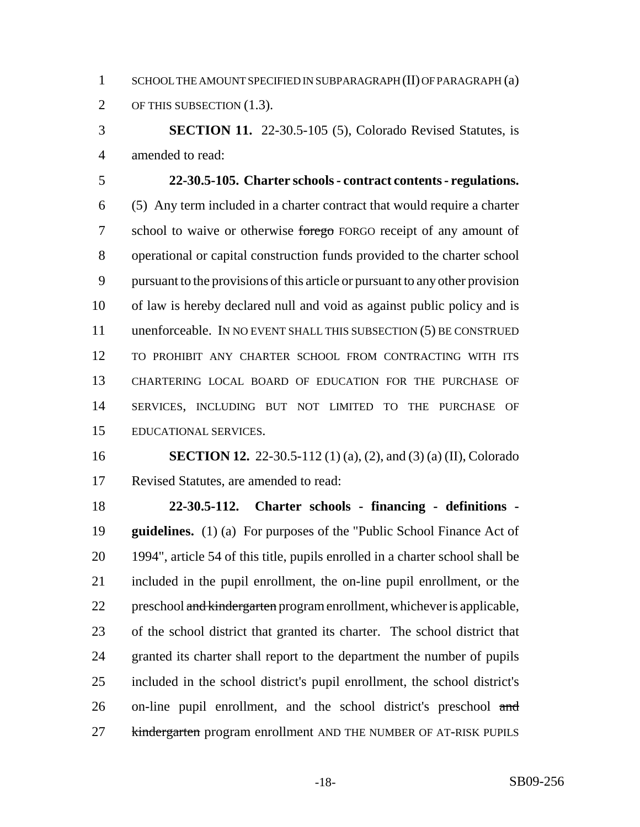1 SCHOOL THE AMOUNT SPECIFIED IN SUBPARAGRAPH (II) OF PARAGRAPH (a) OF THIS SUBSECTION (1.3).

 **SECTION 11.** 22-30.5-105 (5), Colorado Revised Statutes, is amended to read:

 **22-30.5-105. Charter schools - contract contents - regulations.** (5) Any term included in a charter contract that would require a charter 7 school to waive or otherwise forego FORGO receipt of any amount of operational or capital construction funds provided to the charter school pursuant to the provisions of this article or pursuant to any other provision of law is hereby declared null and void as against public policy and is unenforceable. IN NO EVENT SHALL THIS SUBSECTION (5) BE CONSTRUED TO PROHIBIT ANY CHARTER SCHOOL FROM CONTRACTING WITH ITS CHARTERING LOCAL BOARD OF EDUCATION FOR THE PURCHASE OF SERVICES, INCLUDING BUT NOT LIMITED TO THE PURCHASE OF EDUCATIONAL SERVICES.

 **SECTION 12.** 22-30.5-112 (1) (a), (2), and (3) (a) (II), Colorado Revised Statutes, are amended to read:

 **22-30.5-112. Charter schools - financing - definitions - guidelines.** (1) (a) For purposes of the "Public School Finance Act of 1994", article 54 of this title, pupils enrolled in a charter school shall be included in the pupil enrollment, the on-line pupil enrollment, or the 22 preschool and kindergarten program enrollment, whichever is applicable, of the school district that granted its charter. The school district that granted its charter shall report to the department the number of pupils included in the school district's pupil enrollment, the school district's 26 on-line pupil enrollment, and the school district's preschool and 27 kindergarten program enrollment AND THE NUMBER OF AT-RISK PUPILS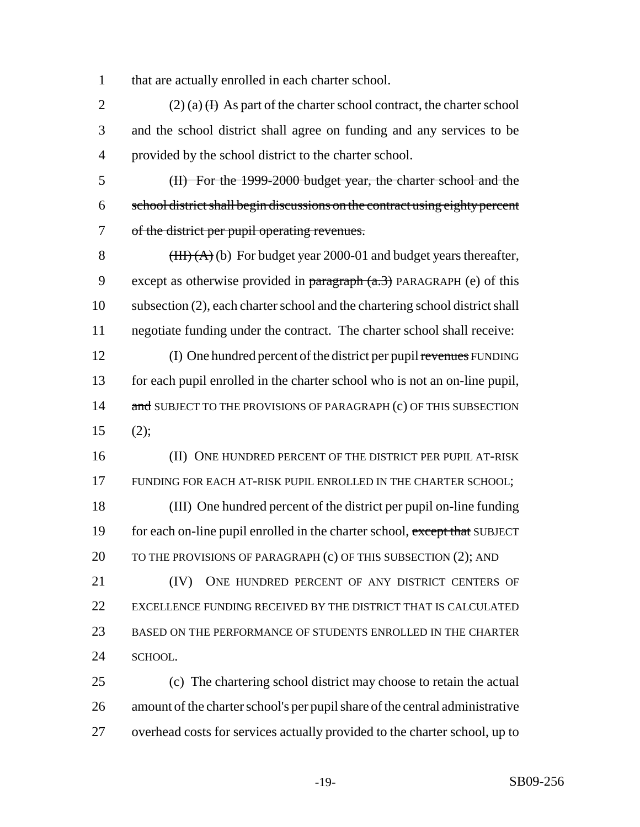that are actually enrolled in each charter school.

2 (2) (a)  $(H)$  As part of the charter school contract, the charter school and the school district shall agree on funding and any services to be provided by the school district to the charter school.

 (II) For the 1999-2000 budget year, the charter school and the school district shall begin discussions on the contract using eighty percent of the district per pupil operating revenues.

8 (HH) (A) (b) For budget year 2000-01 and budget years thereafter, 9 except as otherwise provided in  $\frac{\partial^2 f}{\partial x^2}$  PARAGRAPH (e) of this subsection (2), each charter school and the chartering school district shall negotiate funding under the contract. The charter school shall receive:

12 (I) One hundred percent of the district per pupil revenues FUNDING for each pupil enrolled in the charter school who is not an on-line pupil, 14 and SUBJECT TO THE PROVISIONS OF PARAGRAPH (c) OF THIS SUBSECTION (2);

16 (II) ONE HUNDRED PERCENT OF THE DISTRICT PER PUPIL AT-RISK FUNDING FOR EACH AT-RISK PUPIL ENROLLED IN THE CHARTER SCHOOL; (III) One hundred percent of the district per pupil on-line funding 19 for each on-line pupil enrolled in the charter school, except that SUBJECT 20 TO THE PROVISIONS OF PARAGRAPH (c) OF THIS SUBSECTION (2); AND 21 (IV) ONE HUNDRED PERCENT OF ANY DISTRICT CENTERS OF EXCELLENCE FUNDING RECEIVED BY THE DISTRICT THAT IS CALCULATED BASED ON THE PERFORMANCE OF STUDENTS ENROLLED IN THE CHARTER

24 SCHOOL.

 (c) The chartering school district may choose to retain the actual amount of the charter school's per pupil share of the central administrative overhead costs for services actually provided to the charter school, up to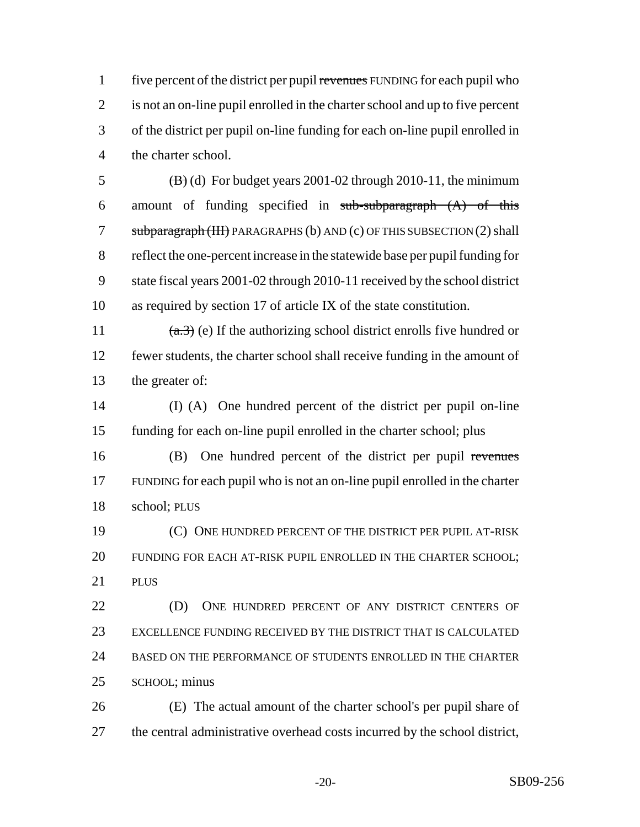1 five percent of the district per pupil revenues FUNDING for each pupil who is not an on-line pupil enrolled in the charter school and up to five percent of the district per pupil on-line funding for each on-line pupil enrolled in the charter school.

 $(B)$  (d) For budget years 2001-02 through 2010-11, the minimum 6 amount of funding specified in  $sub-subparagram$  (A) of this 7 subparagraph (III) PARAGRAPHS (b) AND (c) OF THIS SUBSECTION (2) shall reflect the one-percent increase in the statewide base per pupil funding for state fiscal years 2001-02 through 2010-11 received by the school district as required by section 17 of article IX of the state constitution.

11  $(a.3)$  (e) If the authorizing school district enrolls five hundred or fewer students, the charter school shall receive funding in the amount of the greater of:

 (I) (A) One hundred percent of the district per pupil on-line funding for each on-line pupil enrolled in the charter school; plus

 (B) One hundred percent of the district per pupil revenues FUNDING for each pupil who is not an on-line pupil enrolled in the charter school; PLUS

 (C) ONE HUNDRED PERCENT OF THE DISTRICT PER PUPIL AT-RISK FUNDING FOR EACH AT-RISK PUPIL ENROLLED IN THE CHARTER SCHOOL; PLUS

**(D)** ONE HUNDRED PERCENT OF ANY DISTRICT CENTERS OF EXCELLENCE FUNDING RECEIVED BY THE DISTRICT THAT IS CALCULATED BASED ON THE PERFORMANCE OF STUDENTS ENROLLED IN THE CHARTER SCHOOL; minus

 (E) The actual amount of the charter school's per pupil share of the central administrative overhead costs incurred by the school district,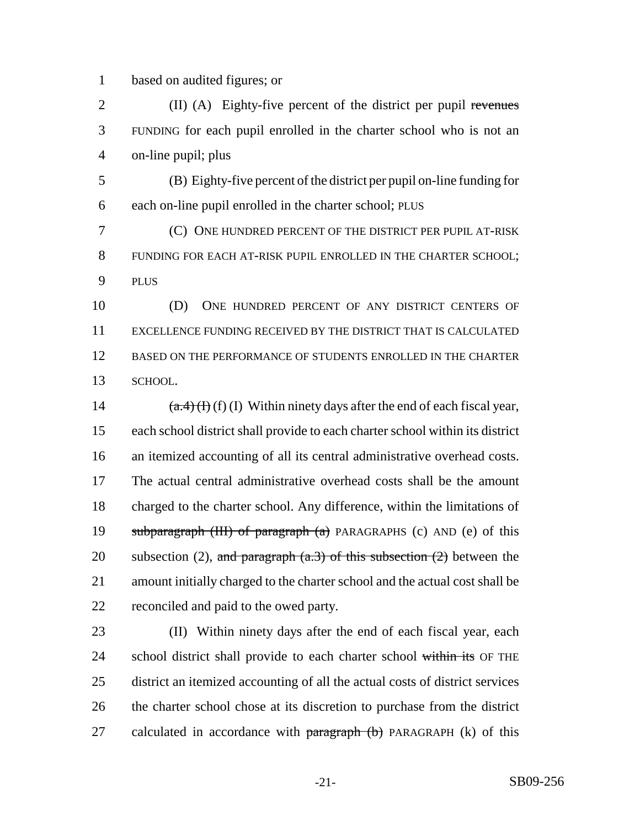based on audited figures; or

2 (II) (A) Eighty-five percent of the district per pupil revenues FUNDING for each pupil enrolled in the charter school who is not an on-line pupil; plus

 (B) Eighty-five percent of the district per pupil on-line funding for each on-line pupil enrolled in the charter school; PLUS

 (C) ONE HUNDRED PERCENT OF THE DISTRICT PER PUPIL AT-RISK FUNDING FOR EACH AT-RISK PUPIL ENROLLED IN THE CHARTER SCHOOL; PLUS

 (D) ONE HUNDRED PERCENT OF ANY DISTRICT CENTERS OF EXCELLENCE FUNDING RECEIVED BY THE DISTRICT THAT IS CALCULATED BASED ON THE PERFORMANCE OF STUDENTS ENROLLED IN THE CHARTER SCHOOL.

 $(a.4)(f)(f)(I)$  Within ninety days after the end of each fiscal year, each school district shall provide to each charter school within its district an itemized accounting of all its central administrative overhead costs. The actual central administrative overhead costs shall be the amount charged to the charter school. Any difference, within the limitations of subparagraph (III) of paragraph (a) PARAGRAPHS (c) AND (e) of this 20 subsection (2), and paragraph  $(a.3)$  of this subsection (2) between the amount initially charged to the charter school and the actual cost shall be reconciled and paid to the owed party.

 (II) Within ninety days after the end of each fiscal year, each 24 school district shall provide to each charter school within its OF THE district an itemized accounting of all the actual costs of district services the charter school chose at its discretion to purchase from the district 27 calculated in accordance with  $\frac{1}{27}$  paragraph (b) PARAGRAPH (k) of this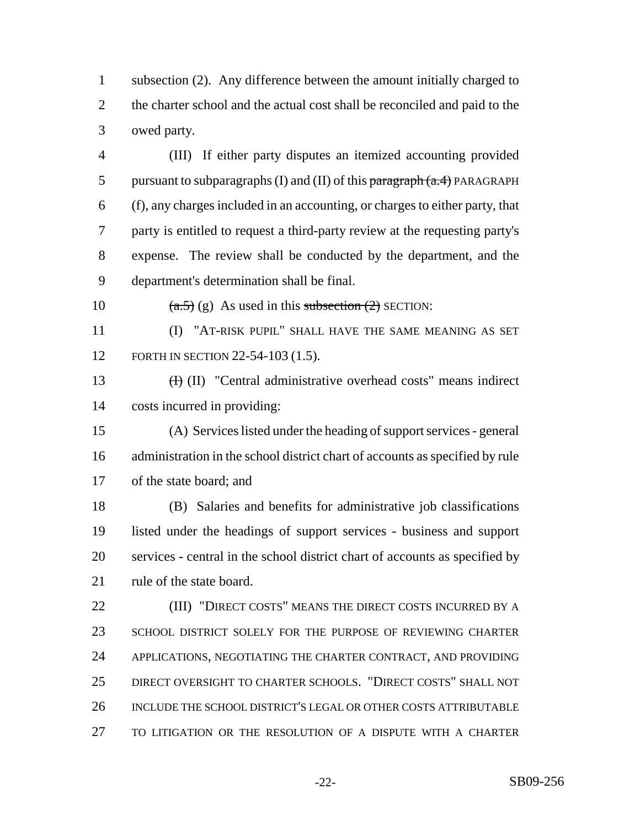subsection (2). Any difference between the amount initially charged to the charter school and the actual cost shall be reconciled and paid to the owed party.

 (III) If either party disputes an itemized accounting provided 5 pursuant to subparagraphs (I) and (II) of this  $\frac{\text{paramal}}{\text{paramal}}(a.4)$  PARAGRAPH (f), any charges included in an accounting, or charges to either party, that party is entitled to request a third-party review at the requesting party's expense. The review shall be conducted by the department, and the department's determination shall be final.

10  $(a.5)$  (g) As used in this subsection (2) SECTION:

 (I) "AT-RISK PUPIL" SHALL HAVE THE SAME MEANING AS SET 12 FORTH IN SECTION 22-54-103 (1.5).

 (I) (II) "Central administrative overhead costs" means indirect costs incurred in providing:

 (A) Services listed under the heading of support services - general administration in the school district chart of accounts as specified by rule of the state board; and

 (B) Salaries and benefits for administrative job classifications listed under the headings of support services - business and support services - central in the school district chart of accounts as specified by rule of the state board.

**(III)** "DIRECT COSTS" MEANS THE DIRECT COSTS INCURRED BY A SCHOOL DISTRICT SOLELY FOR THE PURPOSE OF REVIEWING CHARTER APPLICATIONS, NEGOTIATING THE CHARTER CONTRACT, AND PROVIDING DIRECT OVERSIGHT TO CHARTER SCHOOLS. "DIRECT COSTS" SHALL NOT INCLUDE THE SCHOOL DISTRICT'S LEGAL OR OTHER COSTS ATTRIBUTABLE TO LITIGATION OR THE RESOLUTION OF A DISPUTE WITH A CHARTER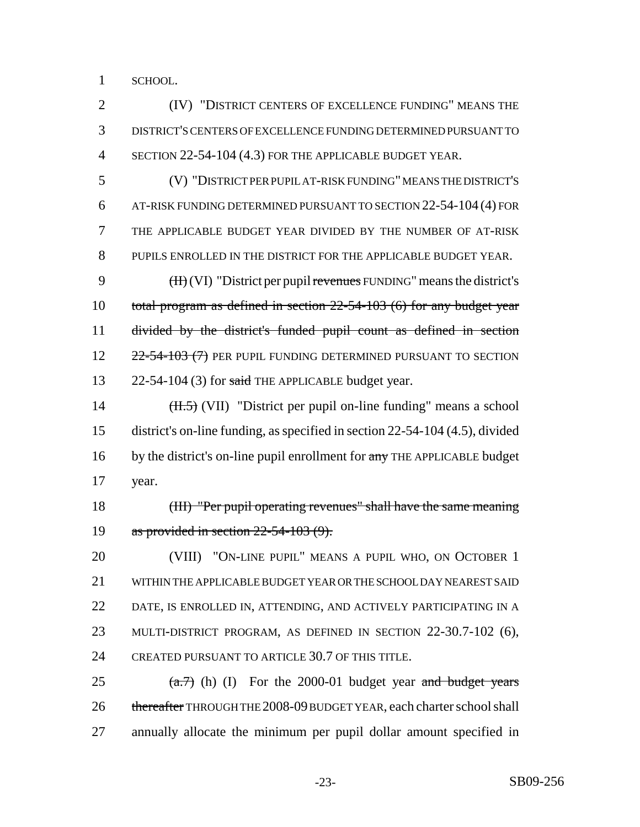SCHOOL.

 (IV) "DISTRICT CENTERS OF EXCELLENCE FUNDING" MEANS THE DISTRICT'S CENTERS OF EXCELLENCE FUNDING DETERMINED PURSUANT TO SECTION 22-54-104 (4.3) FOR THE APPLICABLE BUDGET YEAR.

 (V) "DISTRICT PER PUPIL AT-RISK FUNDING" MEANS THE DISTRICT'S AT-RISK FUNDING DETERMINED PURSUANT TO SECTION 22-54-104 (4) FOR THE APPLICABLE BUDGET YEAR DIVIDED BY THE NUMBER OF AT-RISK PUPILS ENROLLED IN THE DISTRICT FOR THE APPLICABLE BUDGET YEAR.

9  $(H<sub>i</sub>(VI)$  "District per pupil revenues FUNDING" means the district's total program as defined in section 22-54-103 (6) for any budget year divided by the district's funded pupil count as defined in section 12 22-54-103 (7) PER PUPIL FUNDING DETERMINED PURSUANT TO SECTION 13 22-54-104 (3) for said THE APPLICABLE budget year.

14  $(H.5)$  (VII) "District per pupil on-line funding" means a school district's on-line funding, as specified in section 22-54-104 (4.5), divided 16 by the district's on-line pupil enrollment for any THE APPLICABLE budget year.

 (III) "Per pupil operating revenues" shall have the same meaning as provided in section 22-54-103 (9).

 (VIII) "ON-LINE PUPIL" MEANS A PUPIL WHO, ON OCTOBER 1 WITHIN THE APPLICABLE BUDGET YEAR OR THE SCHOOL DAY NEAREST SAID DATE, IS ENROLLED IN, ATTENDING, AND ACTIVELY PARTICIPATING IN A MULTI-DISTRICT PROGRAM, AS DEFINED IN SECTION 22-30.7-102 (6), CREATED PURSUANT TO ARTICLE 30.7 OF THIS TITLE.

25  $(a.7)$  (h) (I) For the 2000-01 budget year and budget years 26 thereafter THROUGH THE 2008-09 BUDGET YEAR, each charter school shall annually allocate the minimum per pupil dollar amount specified in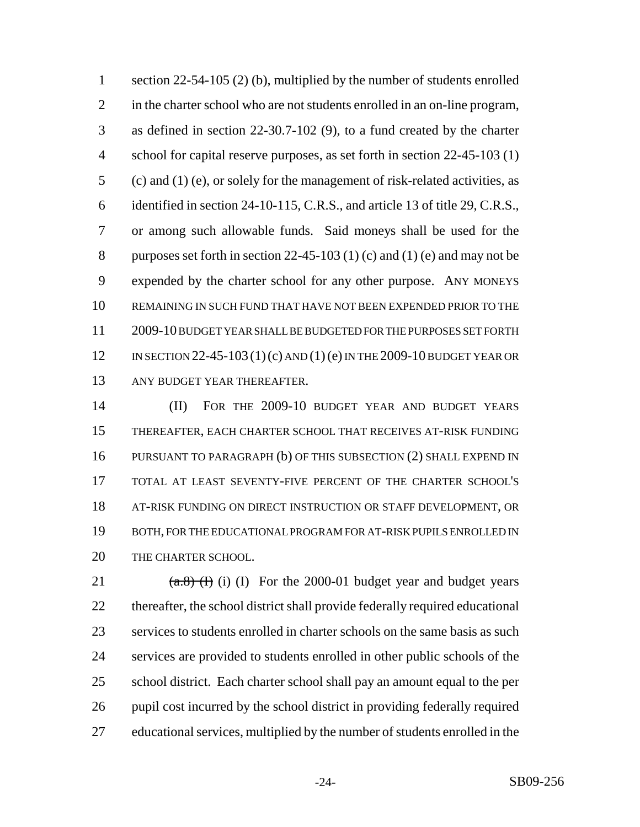1 section 22-54-105 (2) (b), multiplied by the number of students enrolled in the charter school who are not students enrolled in an on-line program, as defined in section 22-30.7-102 (9), to a fund created by the charter school for capital reserve purposes, as set forth in section 22-45-103 (1) (c) and (1) (e), or solely for the management of risk-related activities, as identified in section 24-10-115, C.R.S., and article 13 of title 29, C.R.S., or among such allowable funds. Said moneys shall be used for the 8 purposes set forth in section  $22-45-103$  (1) (c) and (1) (e) and may not be expended by the charter school for any other purpose. ANY MONEYS REMAINING IN SUCH FUND THAT HAVE NOT BEEN EXPENDED PRIOR TO THE 2009-10 BUDGET YEAR SHALL BE BUDGETED FOR THE PURPOSES SET FORTH 12 IN SECTION 22-45-103 (1) (c) AND (1) (e) IN THE 2009-10 BUDGET YEAR OR ANY BUDGET YEAR THEREAFTER.

 (II) FOR THE 2009-10 BUDGET YEAR AND BUDGET YEARS THEREAFTER, EACH CHARTER SCHOOL THAT RECEIVES AT-RISK FUNDING PURSUANT TO PARAGRAPH (b) OF THIS SUBSECTION (2) SHALL EXPEND IN TOTAL AT LEAST SEVENTY-FIVE PERCENT OF THE CHARTER SCHOOL'S AT-RISK FUNDING ON DIRECT INSTRUCTION OR STAFF DEVELOPMENT, OR BOTH, FOR THE EDUCATIONAL PROGRAM FOR AT-RISK PUPILS ENROLLED IN THE CHARTER SCHOOL.

 $(a.8)$  (I) (I) For the 2000-01 budget year and budget years thereafter, the school district shall provide federally required educational services to students enrolled in charter schools on the same basis as such services are provided to students enrolled in other public schools of the school district. Each charter school shall pay an amount equal to the per pupil cost incurred by the school district in providing federally required educational services, multiplied by the number of students enrolled in the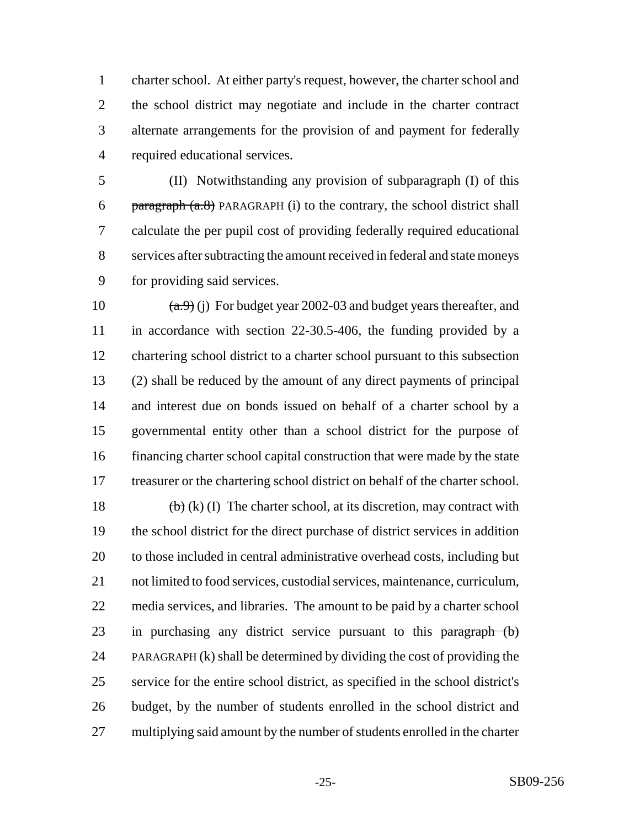charter school. At either party's request, however, the charter school and the school district may negotiate and include in the charter contract alternate arrangements for the provision of and payment for federally required educational services.

 (II) Notwithstanding any provision of subparagraph (I) of this 6 paragraph  $(a.8)$  PARAGRAPH (i) to the contrary, the school district shall calculate the per pupil cost of providing federally required educational services after subtracting the amount received in federal and state moneys for providing said services.

 $(a,9)$  (j) For budget year 2002-03 and budget years thereafter, and in accordance with section 22-30.5-406, the funding provided by a chartering school district to a charter school pursuant to this subsection (2) shall be reduced by the amount of any direct payments of principal and interest due on bonds issued on behalf of a charter school by a governmental entity other than a school district for the purpose of financing charter school capital construction that were made by the state treasurer or the chartering school district on behalf of the charter school.

 $\left(\frac{b}{b}\right)$  (k) (I) The charter school, at its discretion, may contract with the school district for the direct purchase of district services in addition to those included in central administrative overhead costs, including but not limited to food services, custodial services, maintenance, curriculum, media services, and libraries. The amount to be paid by a charter school 23 in purchasing any district service pursuant to this paragraph (b) PARAGRAPH (k) shall be determined by dividing the cost of providing the service for the entire school district, as specified in the school district's budget, by the number of students enrolled in the school district and multiplying said amount by the number of students enrolled in the charter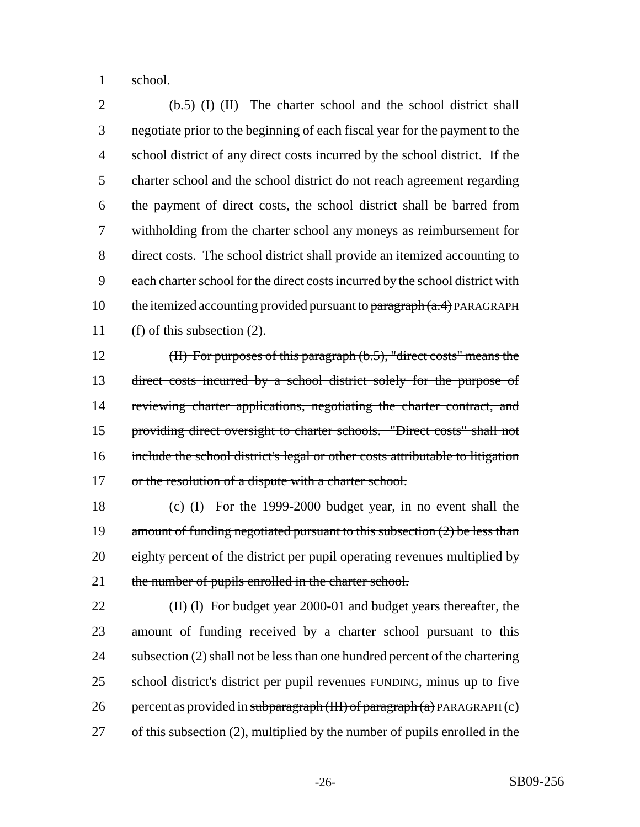school.

 $\left(\frac{b.5}{0.5}\right)$  (I) The charter school and the school district shall negotiate prior to the beginning of each fiscal year for the payment to the school district of any direct costs incurred by the school district. If the charter school and the school district do not reach agreement regarding the payment of direct costs, the school district shall be barred from withholding from the charter school any moneys as reimbursement for direct costs. The school district shall provide an itemized accounting to each charter school for the direct costs incurred by the school district with 10 the itemized accounting provided pursuant to  $\frac{\partial^2 f}{\partial x^2}$  PARAGRAPH (f) of this subsection (2).

 (II) For purposes of this paragraph (b.5), "direct costs" means the direct costs incurred by a school district solely for the purpose of 14 reviewing charter applications, negotiating the charter contract, and providing direct oversight to charter schools. "Direct costs" shall not include the school district's legal or other costs attributable to litigation 17 or the resolution of a dispute with a charter school.

 (c) (I) For the 1999-2000 budget year, in no event shall the 19 amount of funding negotiated pursuant to this subsection (2) be less than 20 eighty percent of the district per pupil operating revenues multiplied by 21 the number of pupils enrolled in the charter school.

 $(H)$  (I) For budget year 2000-01 and budget years thereafter, the amount of funding received by a charter school pursuant to this subsection (2) shall not be less than one hundred percent of the chartering 25 school district's district per pupil revenues FUNDING, minus up to five 26 percent as provided in subparagraph  $(HH)$  of paragraph  $(a)$  PARAGRAPH  $(c)$ of this subsection (2), multiplied by the number of pupils enrolled in the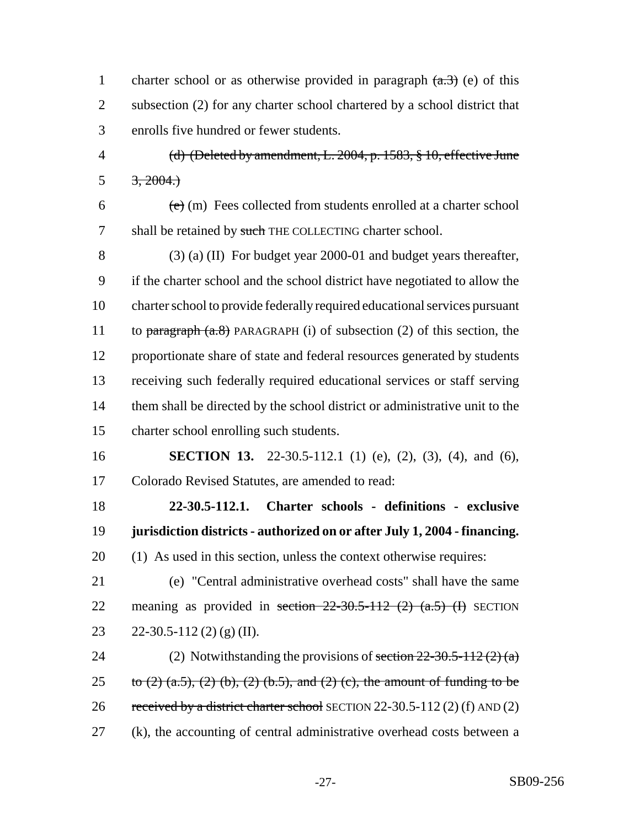1 charter school or as otherwise provided in paragraph  $(a,3)$  (e) of this 2 subsection (2) for any charter school chartered by a school district that 3 enrolls five hundred or fewer students.

4 (d) (Deleted by amendment, L. 2004, p. 1583, § 10, effective June 5  $3, 2004.$ 

 $\epsilon$  (e) (m) Fees collected from students enrolled at a charter school 7 shall be retained by such THE COLLECTING charter school.

 (3) (a) (II) For budget year 2000-01 and budget years thereafter, if the charter school and the school district have negotiated to allow the charter school to provide federally required educational services pursuant 11 to paragraph  $(a.8)$  PARAGRAPH (i) of subsection (2) of this section, the proportionate share of state and federal resources generated by students receiving such federally required educational services or staff serving them shall be directed by the school district or administrative unit to the charter school enrolling such students.

16 **SECTION 13.** 22-30.5-112.1 (1) (e), (2), (3), (4), and (6), 17 Colorado Revised Statutes, are amended to read:

18 **22-30.5-112.1. Charter schools - definitions - exclusive** 19 **jurisdiction districts - authorized on or after July 1, 2004 - financing.** 20 (1) As used in this section, unless the context otherwise requires:

21 (e) "Central administrative overhead costs" shall have the same 22 meaning as provided in section  $22-30.5-112$  (2)  $(a.5)$  (I) SECTION 23 22-30.5-112 (2) (g) (II).

24 (2) Notwithstanding the provisions of section  $22-30.5-112(2)$  (a) 25 to  $(2)$   $(a.5)$ ,  $(2)$   $(b)$ ,  $(2)$   $(b.5)$ , and  $(2)$   $(c)$ , the amount of funding to be 26 received by a district charter school SECTION 22-30.5-112 (2) (f) AND (2) 27 (k), the accounting of central administrative overhead costs between a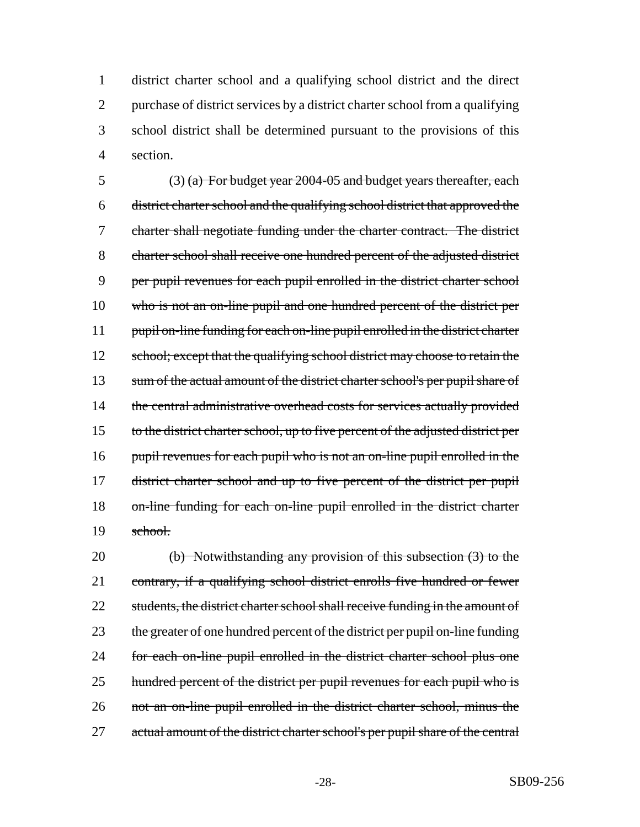district charter school and a qualifying school district and the direct purchase of district services by a district charter school from a qualifying school district shall be determined pursuant to the provisions of this 4 section.

5 (3) (a) For budget year  $2004-05$  and budget years thereafter, each 6 district charter school and the qualifying school district that approved the 7 charter shall negotiate funding under the charter contract. The district 8 charter school shall receive one hundred percent of the adjusted district 9 per pupil revenues for each pupil enrolled in the district charter school 10 who is not an on-line pupil and one hundred percent of the district per 11 pupil on-line funding for each on-line pupil enrolled in the district charter 12 school; except that the qualifying school district may choose to retain the 13 sum of the actual amount of the district charter school's per pupil share of 14 the central administrative overhead costs for services actually provided 15 to the district charter school, up to five percent of the adjusted district per 16 pupil revenues for each pupil who is not an on-line pupil enrolled in the 17 district charter school and up to five percent of the district per pupil 18 on-line funding for each on-line pupil enrolled in the district charter 19 school.

20 (b) Notwithstanding any provision of this subsection (3) to the 21 contrary, if a qualifying school district enrolls five hundred or fewer 22 students, the district charter school shall receive funding in the amount of 23 the greater of one hundred percent of the district per pupil on-line funding 24 for each on-line pupil enrolled in the district charter school plus one 25 hundred percent of the district per pupil revenues for each pupil who is 26 not an on-line pupil enrolled in the district charter school, minus the 27 actual amount of the district charter school's per pupil share of the central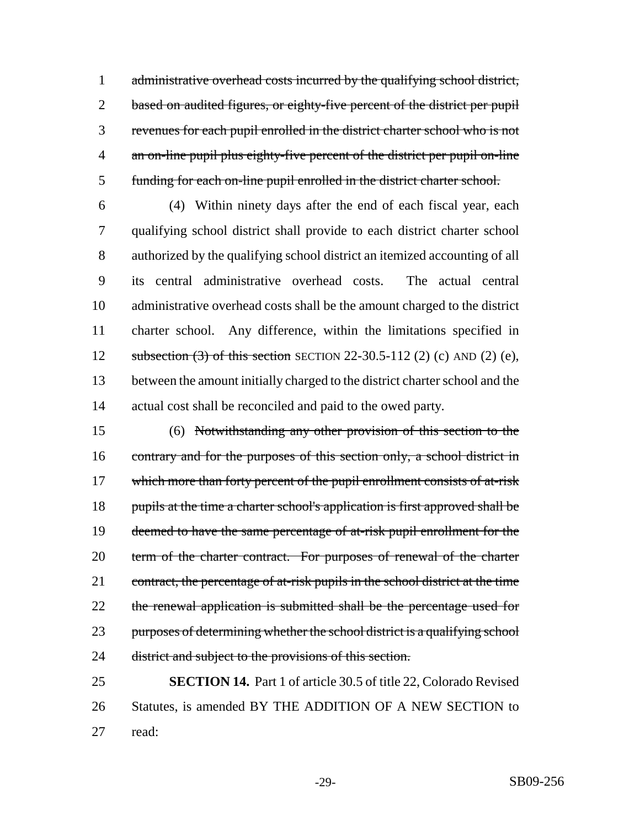1 administrative overhead costs incurred by the qualifying school district, 2 based on audited figures, or eighty-five percent of the district per pupil revenues for each pupil enrolled in the district charter school who is not an on-line pupil plus eighty-five percent of the district per pupil on-line funding for each on-line pupil enrolled in the district charter school.

 (4) Within ninety days after the end of each fiscal year, each qualifying school district shall provide to each district charter school authorized by the qualifying school district an itemized accounting of all its central administrative overhead costs. The actual central administrative overhead costs shall be the amount charged to the district charter school. Any difference, within the limitations specified in subsection (3) of this section SECTION 22-30.5-112 (2) (c) AND (2) (e), between the amount initially charged to the district charter school and the actual cost shall be reconciled and paid to the owed party.

 (6) Notwithstanding any other provision of this section to the 16 contrary and for the purposes of this section only, a school district in 17 which more than forty percent of the pupil enrollment consists of at-risk 18 pupils at the time a charter school's application is first approved shall be 19 deemed to have the same percentage of at-risk pupil enrollment for the 20 term of the charter contract. For purposes of renewal of the charter 21 contract, the percentage of at-risk pupils in the school district at the time 22 the renewal application is submitted shall be the percentage used for purposes of determining whether the school district is a qualifying school 24 district and subject to the provisions of this section.

 **SECTION 14.** Part 1 of article 30.5 of title 22, Colorado Revised Statutes, is amended BY THE ADDITION OF A NEW SECTION to read: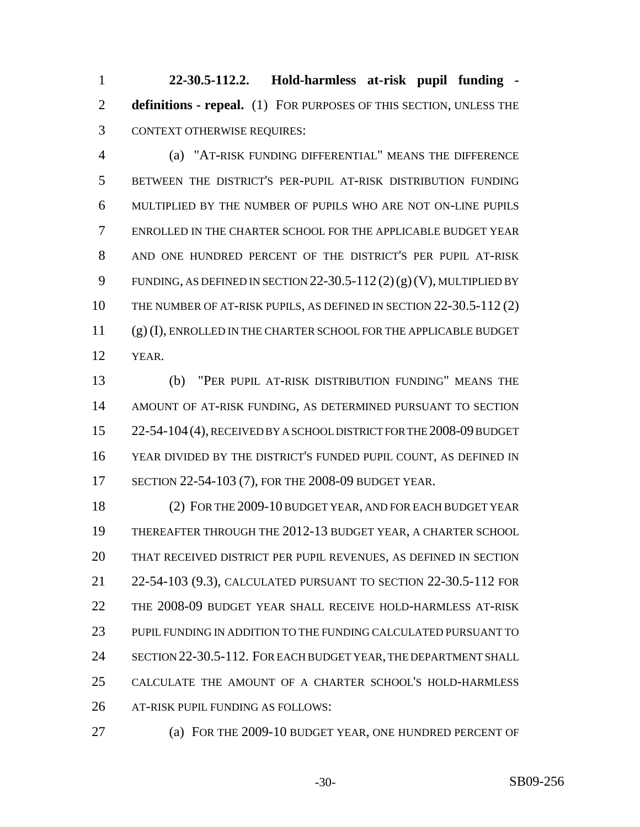**22-30.5-112.2. Hold-harmless at-risk pupil funding - definitions - repeal.** (1) FOR PURPOSES OF THIS SECTION, UNLESS THE CONTEXT OTHERWISE REQUIRES:

 (a) "AT-RISK FUNDING DIFFERENTIAL" MEANS THE DIFFERENCE BETWEEN THE DISTRICT'S PER-PUPIL AT-RISK DISTRIBUTION FUNDING MULTIPLIED BY THE NUMBER OF PUPILS WHO ARE NOT ON-LINE PUPILS ENROLLED IN THE CHARTER SCHOOL FOR THE APPLICABLE BUDGET YEAR AND ONE HUNDRED PERCENT OF THE DISTRICT'S PER PUPIL AT-RISK 9 FUNDING, AS DEFINED IN SECTION  $22-30.5-112(2)(g)(V)$ , MULTIPLIED BY 10 THE NUMBER OF AT-RISK PUPILS, AS DEFINED IN SECTION 22-30.5-112 (2) (g) (I), ENROLLED IN THE CHARTER SCHOOL FOR THE APPLICABLE BUDGET YEAR.

 (b) "PER PUPIL AT-RISK DISTRIBUTION FUNDING" MEANS THE AMOUNT OF AT-RISK FUNDING, AS DETERMINED PURSUANT TO SECTION 15 22-54-104 (4), RECEIVED BY A SCHOOL DISTRICT FOR THE 2008-09 BUDGET YEAR DIVIDED BY THE DISTRICT'S FUNDED PUPIL COUNT, AS DEFINED IN SECTION 22-54-103 (7), FOR THE 2008-09 BUDGET YEAR.

 (2) FOR THE 2009-10 BUDGET YEAR, AND FOR EACH BUDGET YEAR THEREAFTER THROUGH THE 2012-13 BUDGET YEAR, A CHARTER SCHOOL THAT RECEIVED DISTRICT PER PUPIL REVENUES, AS DEFINED IN SECTION 22-54-103 (9.3), CALCULATED PURSUANT TO SECTION 22-30.5-112 FOR THE 2008-09 BUDGET YEAR SHALL RECEIVE HOLD-HARMLESS AT-RISK PUPIL FUNDING IN ADDITION TO THE FUNDING CALCULATED PURSUANT TO 24 SECTION 22-30.5-112. FOR EACH BUDGET YEAR, THE DEPARTMENT SHALL CALCULATE THE AMOUNT OF A CHARTER SCHOOL'S HOLD-HARMLESS AT-RISK PUPIL FUNDING AS FOLLOWS:

- 
- (a) FOR THE 2009-10 BUDGET YEAR, ONE HUNDRED PERCENT OF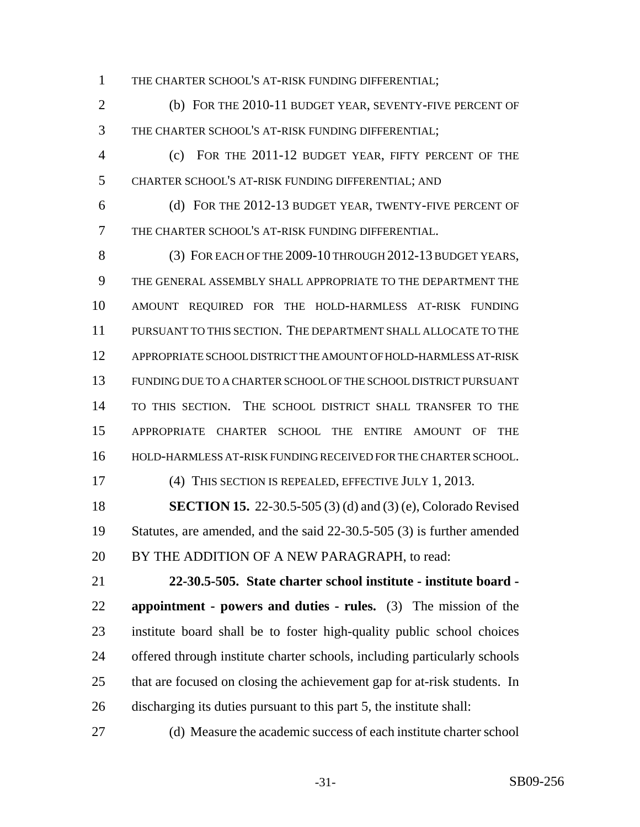THE CHARTER SCHOOL'S AT-RISK FUNDING DIFFERENTIAL;

 (b) FOR THE 2010-11 BUDGET YEAR, SEVENTY-FIVE PERCENT OF THE CHARTER SCHOOL'S AT-RISK FUNDING DIFFERENTIAL;

 (c) FOR THE 2011-12 BUDGET YEAR, FIFTY PERCENT OF THE CHARTER SCHOOL'S AT-RISK FUNDING DIFFERENTIAL; AND

 (d) FOR THE 2012-13 BUDGET YEAR, TWENTY-FIVE PERCENT OF THE CHARTER SCHOOL'S AT-RISK FUNDING DIFFERENTIAL.

 (3) FOR EACH OF THE 2009-10 THROUGH 2012-13 BUDGET YEARS, THE GENERAL ASSEMBLY SHALL APPROPRIATE TO THE DEPARTMENT THE AMOUNT REQUIRED FOR THE HOLD-HARMLESS AT-RISK FUNDING PURSUANT TO THIS SECTION. THE DEPARTMENT SHALL ALLOCATE TO THE APPROPRIATE SCHOOL DISTRICT THE AMOUNT OF HOLD-HARMLESS AT-RISK FUNDING DUE TO A CHARTER SCHOOL OF THE SCHOOL DISTRICT PURSUANT TO THIS SECTION. THE SCHOOL DISTRICT SHALL TRANSFER TO THE APPROPRIATE CHARTER SCHOOL THE ENTIRE AMOUNT OF THE HOLD-HARMLESS AT-RISK FUNDING RECEIVED FOR THE CHARTER SCHOOL.

#### (4) THIS SECTION IS REPEALED, EFFECTIVE JULY 1, 2013.

 **SECTION 15.** 22-30.5-505 (3) (d) and (3) (e), Colorado Revised Statutes, are amended, and the said 22-30.5-505 (3) is further amended 20 BY THE ADDITION OF A NEW PARAGRAPH, to read:

 **22-30.5-505. State charter school institute - institute board - appointment - powers and duties - rules.** (3) The mission of the institute board shall be to foster high-quality public school choices offered through institute charter schools, including particularly schools that are focused on closing the achievement gap for at-risk students. In discharging its duties pursuant to this part 5, the institute shall:

(d) Measure the academic success of each institute charter school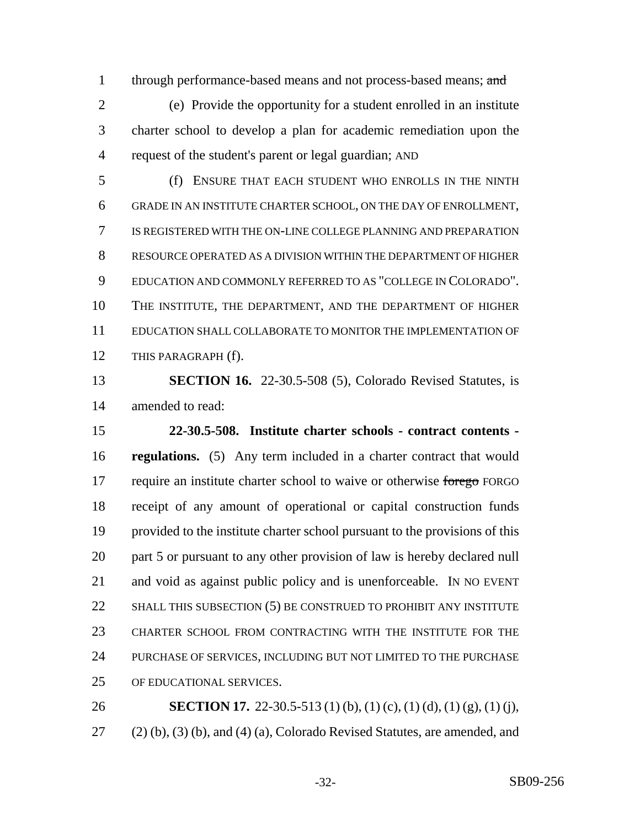1 through performance-based means and not process-based means; and

 (e) Provide the opportunity for a student enrolled in an institute charter school to develop a plan for academic remediation upon the request of the student's parent or legal guardian; AND

 (f) ENSURE THAT EACH STUDENT WHO ENROLLS IN THE NINTH GRADE IN AN INSTITUTE CHARTER SCHOOL, ON THE DAY OF ENROLLMENT, IS REGISTERED WITH THE ON-LINE COLLEGE PLANNING AND PREPARATION RESOURCE OPERATED AS A DIVISION WITHIN THE DEPARTMENT OF HIGHER EDUCATION AND COMMONLY REFERRED TO AS "COLLEGE IN COLORADO". THE INSTITUTE, THE DEPARTMENT, AND THE DEPARTMENT OF HIGHER EDUCATION SHALL COLLABORATE TO MONITOR THE IMPLEMENTATION OF THIS PARAGRAPH (f).

 **SECTION 16.** 22-30.5-508 (5), Colorado Revised Statutes, is amended to read:

 **22-30.5-508. Institute charter schools - contract contents - regulations.** (5) Any term included in a charter contract that would 17 require an institute charter school to waive or otherwise forego FORGO receipt of any amount of operational or capital construction funds provided to the institute charter school pursuant to the provisions of this 20 part 5 or pursuant to any other provision of law is hereby declared null and void as against public policy and is unenforceable. IN NO EVENT 22 SHALL THIS SUBSECTION (5) BE CONSTRUED TO PROHIBIT ANY INSTITUTE CHARTER SCHOOL FROM CONTRACTING WITH THE INSTITUTE FOR THE PURCHASE OF SERVICES, INCLUDING BUT NOT LIMITED TO THE PURCHASE OF EDUCATIONAL SERVICES.

**SECTION 17.** 22-30.5-513 (1) (b), (1) (c), (1) (d), (1) (g), (1) (j), (2) (b), (3) (b), and (4) (a), Colorado Revised Statutes, are amended, and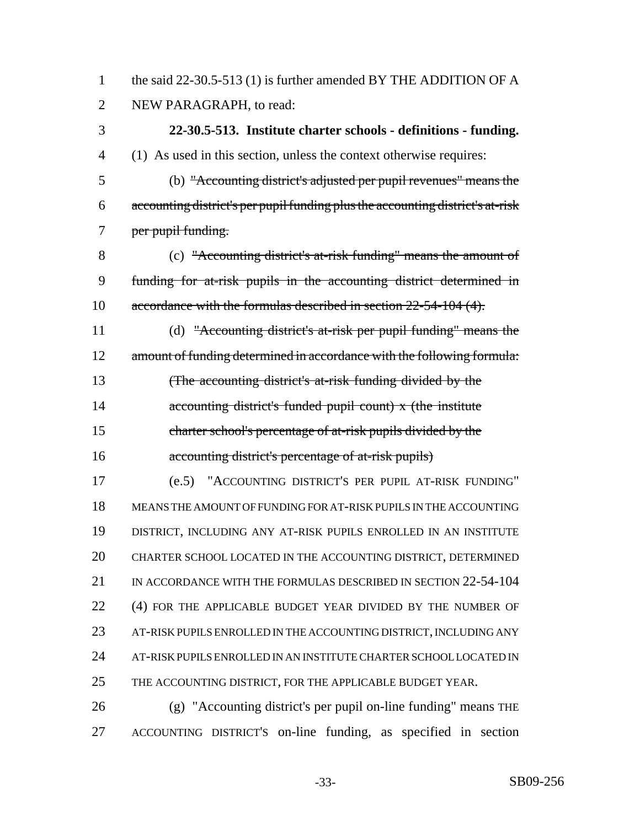1 the said 22-30.5-513 (1) is further amended BY THE ADDITION OF A NEW PARAGRAPH, to read:

# **22-30.5-513. Institute charter schools - definitions - funding.**

(1) As used in this section, unless the context otherwise requires:

 (b) "Accounting district's adjusted per pupil revenues" means the accounting district's per pupil funding plus the accounting district's at-risk 7 per pupil funding.

 (c) "Accounting district's at-risk funding" means the amount of funding for at-risk pupils in the accounting district determined in accordance with the formulas described in section 22-54-104 (4).

 (d) "Accounting district's at-risk per pupil funding" means the 12 amount of funding determined in accordance with the following formula: (The accounting district's at-risk funding divided by the

14 accounting district's funded pupil count) x (the institute charter school's percentage of at-risk pupils divided by the

**accounting district's percentage of at-risk pupils**)

 (e.5) "ACCOUNTING DISTRICT'S PER PUPIL AT-RISK FUNDING" MEANS THE AMOUNT OF FUNDING FOR AT-RISK PUPILS IN THE ACCOUNTING DISTRICT, INCLUDING ANY AT-RISK PUPILS ENROLLED IN AN INSTITUTE CHARTER SCHOOL LOCATED IN THE ACCOUNTING DISTRICT, DETERMINED 21 IN ACCORDANCE WITH THE FORMULAS DESCRIBED IN SECTION 22-54-104 22 (4) FOR THE APPLICABLE BUDGET YEAR DIVIDED BY THE NUMBER OF AT-RISK PUPILS ENROLLED IN THE ACCOUNTING DISTRICT, INCLUDING ANY AT-RISK PUPILS ENROLLED IN AN INSTITUTE CHARTER SCHOOL LOCATED IN THE ACCOUNTING DISTRICT, FOR THE APPLICABLE BUDGET YEAR.

 (g) "Accounting district's per pupil on-line funding" means THE ACCOUNTING DISTRICT'S on-line funding, as specified in section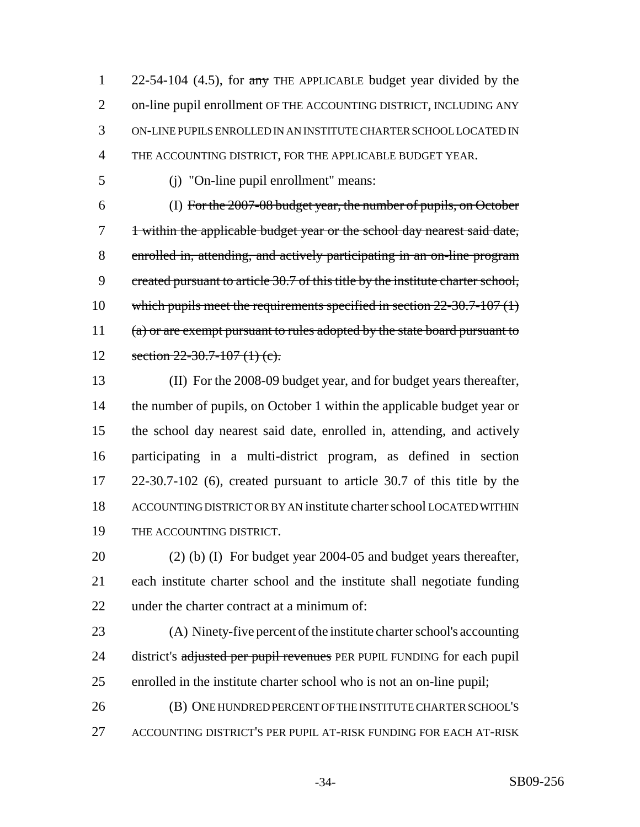1 22-54-104 (4.5), for any THE APPLICABLE budget year divided by the on-line pupil enrollment OF THE ACCOUNTING DISTRICT, INCLUDING ANY ON-LINE PUPILS ENROLLED IN AN INSTITUTE CHARTER SCHOOL LOCATED IN THE ACCOUNTING DISTRICT, FOR THE APPLICABLE BUDGET YEAR.

(j) "On-line pupil enrollment" means:

 (I) For the 2007-08 budget year, the number of pupils, on October 7 1 within the applicable budget year or the school day nearest said date, enrolled in, attending, and actively participating in an on-line program 9 created pursuant to article 30.7 of this title by the institute charter school, 10 which pupils meet the requirements specified in section 22-30.7-107 (1) 11 (a) or are exempt pursuant to rules adopted by the state board pursuant to 12 section  $22-30.7-107$  (1) (c).

 (II) For the 2008-09 budget year, and for budget years thereafter, the number of pupils, on October 1 within the applicable budget year or the school day nearest said date, enrolled in, attending, and actively participating in a multi-district program, as defined in section 22-30.7-102 (6), created pursuant to article 30.7 of this title by the ACCOUNTING DISTRICT OR BY AN institute charter school LOCATED WITHIN THE ACCOUNTING DISTRICT.

 (2) (b) (I) For budget year 2004-05 and budget years thereafter, each institute charter school and the institute shall negotiate funding under the charter contract at a minimum of:

 (A) Ninety-five percent of the institute charter school's accounting 24 district's adjusted per pupil revenues PER PUPIL FUNDING for each pupil enrolled in the institute charter school who is not an on-line pupil;

 (B) ONE HUNDRED PERCENT OF THE INSTITUTE CHARTER SCHOOL'S ACCOUNTING DISTRICT'S PER PUPIL AT-RISK FUNDING FOR EACH AT-RISK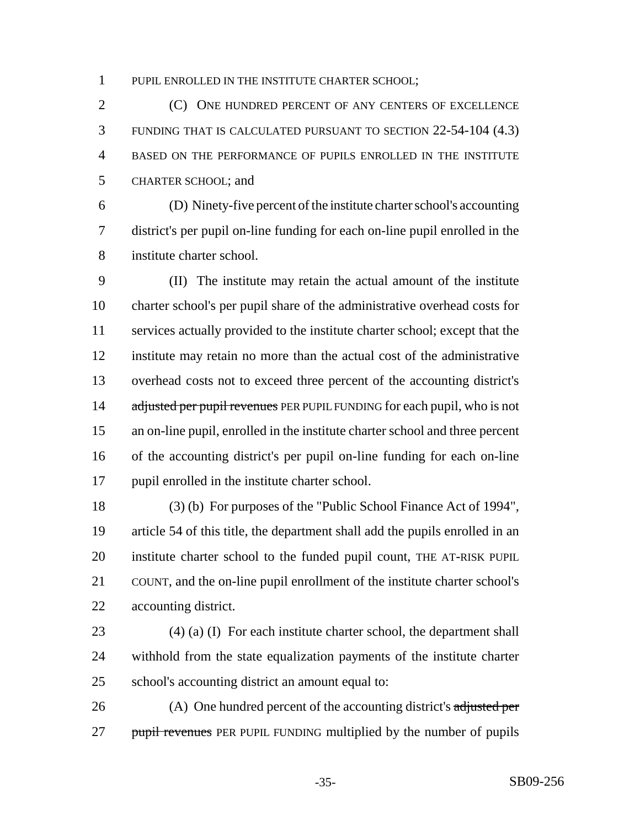PUPIL ENROLLED IN THE INSTITUTE CHARTER SCHOOL;

 (C) ONE HUNDRED PERCENT OF ANY CENTERS OF EXCELLENCE FUNDING THAT IS CALCULATED PURSUANT TO SECTION 22-54-104 (4.3) BASED ON THE PERFORMANCE OF PUPILS ENROLLED IN THE INSTITUTE CHARTER SCHOOL; and

 (D) Ninety-five percent of the institute charter school's accounting district's per pupil on-line funding for each on-line pupil enrolled in the institute charter school.

 (II) The institute may retain the actual amount of the institute charter school's per pupil share of the administrative overhead costs for services actually provided to the institute charter school; except that the institute may retain no more than the actual cost of the administrative overhead costs not to exceed three percent of the accounting district's 14 adjusted per pupil revenues PER PUPIL FUNDING for each pupil, who is not an on-line pupil, enrolled in the institute charter school and three percent of the accounting district's per pupil on-line funding for each on-line pupil enrolled in the institute charter school.

 (3) (b) For purposes of the "Public School Finance Act of 1994", article 54 of this title, the department shall add the pupils enrolled in an institute charter school to the funded pupil count, THE AT-RISK PUPIL COUNT, and the on-line pupil enrollment of the institute charter school's accounting district.

 (4) (a) (I) For each institute charter school, the department shall withhold from the state equalization payments of the institute charter school's accounting district an amount equal to:

26 (A) One hundred percent of the accounting district's adjusted per 27 pupil revenues PER PUPIL FUNDING multiplied by the number of pupils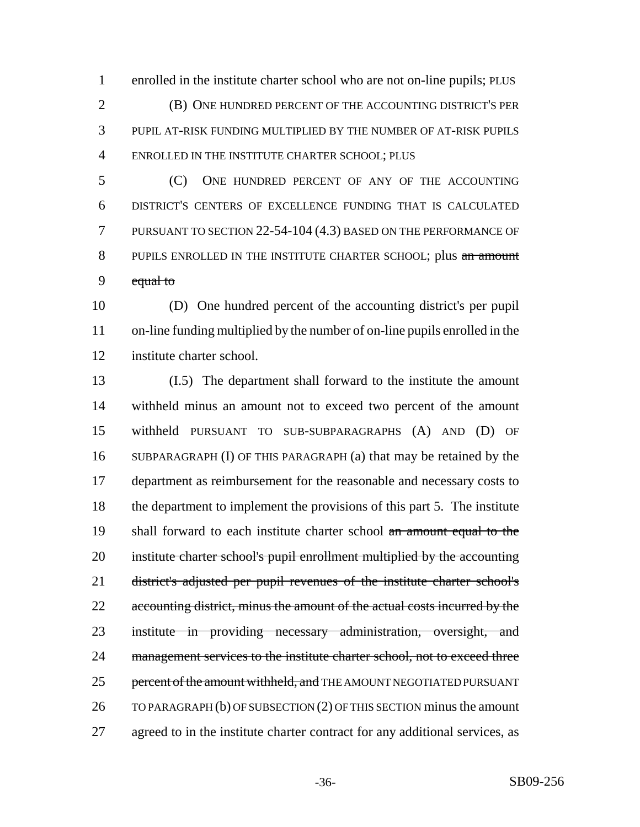enrolled in the institute charter school who are not on-line pupils; PLUS (B) ONE HUNDRED PERCENT OF THE ACCOUNTING DISTRICT'S PER PUPIL AT-RISK FUNDING MULTIPLIED BY THE NUMBER OF AT-RISK PUPILS ENROLLED IN THE INSTITUTE CHARTER SCHOOL; PLUS

 (C) ONE HUNDRED PERCENT OF ANY OF THE ACCOUNTING DISTRICT'S CENTERS OF EXCELLENCE FUNDING THAT IS CALCULATED PURSUANT TO SECTION 22-54-104 (4.3) BASED ON THE PERFORMANCE OF 8 PUPILS ENROLLED IN THE INSTITUTE CHARTER SCHOOL; plus an amount 9 equal to

 (D) One hundred percent of the accounting district's per pupil on-line funding multiplied by the number of on-line pupils enrolled in the institute charter school.

 (I.5) The department shall forward to the institute the amount withheld minus an amount not to exceed two percent of the amount withheld PURSUANT TO SUB-SUBPARAGRAPHS (A) AND (D) OF SUBPARAGRAPH (I) OF THIS PARAGRAPH (a) that may be retained by the department as reimbursement for the reasonable and necessary costs to the department to implement the provisions of this part 5. The institute 19 shall forward to each institute charter school an amount equal to the institute charter school's pupil enrollment multiplied by the accounting district's adjusted per pupil revenues of the institute charter school's 22 accounting district, minus the amount of the actual costs incurred by the institute in providing necessary administration, oversight, and 24 management services to the institute charter school, not to exceed three 25 percent of the amount withheld, and THE AMOUNT NEGOTIATED PURSUANT TO PARAGRAPH (b) OF SUBSECTION (2) OF THIS SECTION minus the amount agreed to in the institute charter contract for any additional services, as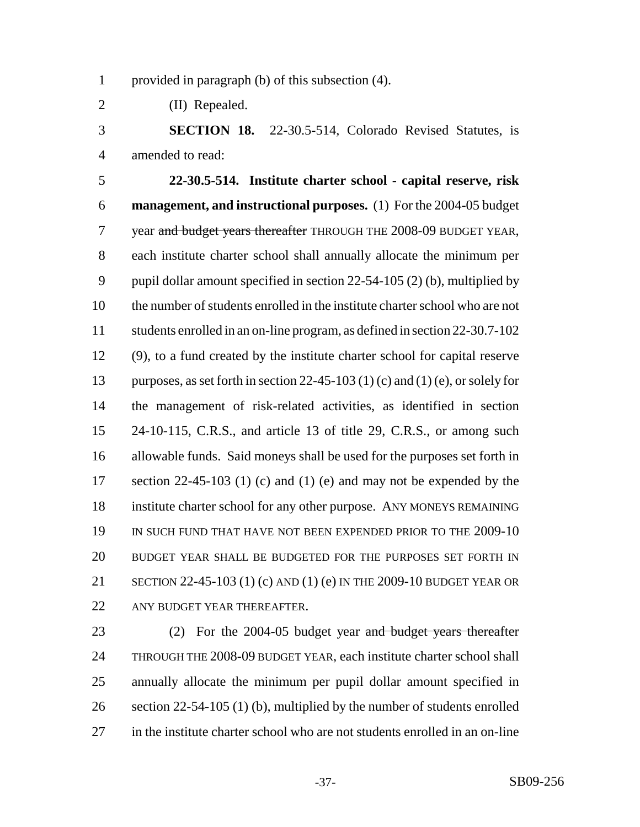provided in paragraph (b) of this subsection (4).

(II) Repealed.

 **SECTION 18.** 22-30.5-514, Colorado Revised Statutes, is amended to read:

 **22-30.5-514. Institute charter school - capital reserve, risk management, and instructional purposes.** (1) For the 2004-05 budget 7 year and budget years thereafter THROUGH THE 2008-09 BUDGET YEAR, each institute charter school shall annually allocate the minimum per pupil dollar amount specified in section 22-54-105 (2) (b), multiplied by the number of students enrolled in the institute charter school who are not students enrolled in an on-line program, as defined in section 22-30.7-102 (9), to a fund created by the institute charter school for capital reserve purposes, as set forth in section 22-45-103 (1) (c) and (1) (e), or solely for the management of risk-related activities, as identified in section 24-10-115, C.R.S., and article 13 of title 29, C.R.S., or among such allowable funds. Said moneys shall be used for the purposes set forth in 17 section 22-45-103 (1) (c) and (1) (e) and may not be expended by the institute charter school for any other purpose. ANY MONEYS REMAINING IN SUCH FUND THAT HAVE NOT BEEN EXPENDED PRIOR TO THE 2009-10 BUDGET YEAR SHALL BE BUDGETED FOR THE PURPOSES SET FORTH IN SECTION 22-45-103 (1) (c) AND (1) (e) IN THE 2009-10 BUDGET YEAR OR 22 ANY BUDGET YEAR THEREAFTER.

23 (2) For the 2004-05 budget year and budget years thereafter THROUGH THE 2008-09 BUDGET YEAR, each institute charter school shall annually allocate the minimum per pupil dollar amount specified in 26 section 22-54-105 (1) (b), multiplied by the number of students enrolled in the institute charter school who are not students enrolled in an on-line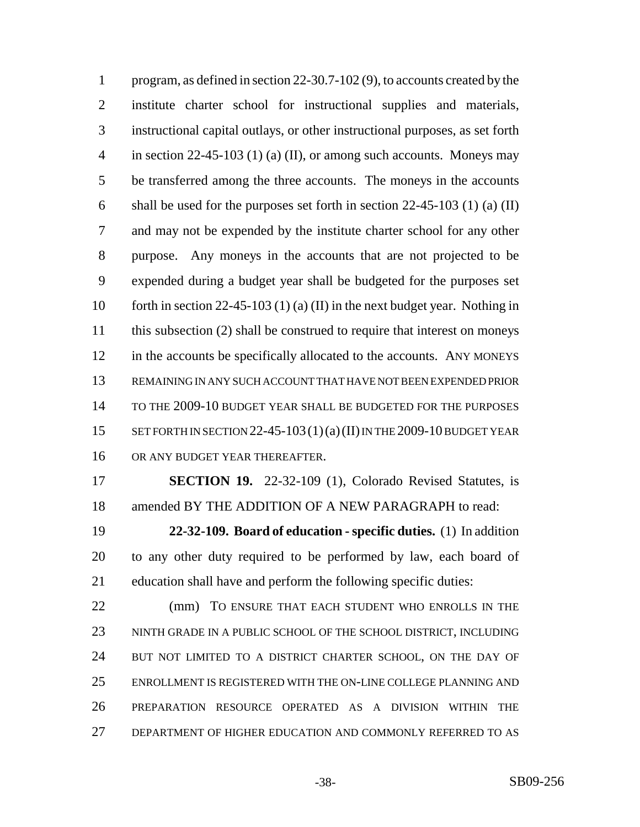program, as defined in section 22-30.7-102 (9), to accounts created by the institute charter school for instructional supplies and materials, instructional capital outlays, or other instructional purposes, as set forth 4 in section 22-45-103 (1) (a) (II), or among such accounts. Moneys may be transferred among the three accounts. The moneys in the accounts shall be used for the purposes set forth in section 22-45-103 (1) (a) (II) and may not be expended by the institute charter school for any other purpose. Any moneys in the accounts that are not projected to be expended during a budget year shall be budgeted for the purposes set 10 forth in section 22-45-103 (1) (a) (II) in the next budget year. Nothing in 11 this subsection (2) shall be construed to require that interest on moneys 12 in the accounts be specifically allocated to the accounts. ANY MONEYS REMAINING IN ANY SUCH ACCOUNT THAT HAVE NOT BEEN EXPENDED PRIOR TO THE 2009-10 BUDGET YEAR SHALL BE BUDGETED FOR THE PURPOSES 15 SET FORTH IN SECTION 22-45-103(1)(a)(II) IN THE 2009-10 BUDGET YEAR OR ANY BUDGET YEAR THEREAFTER.

 **SECTION 19.** 22-32-109 (1), Colorado Revised Statutes, is amended BY THE ADDITION OF A NEW PARAGRAPH to read:

 **22-32-109. Board of education - specific duties.** (1) In addition to any other duty required to be performed by law, each board of education shall have and perform the following specific duties:

22 (mm) TO ENSURE THAT EACH STUDENT WHO ENROLLS IN THE NINTH GRADE IN A PUBLIC SCHOOL OF THE SCHOOL DISTRICT, INCLUDING 24 BUT NOT LIMITED TO A DISTRICT CHARTER SCHOOL, ON THE DAY OF ENROLLMENT IS REGISTERED WITH THE ON-LINE COLLEGE PLANNING AND PREPARATION RESOURCE OPERATED AS A DIVISION WITHIN THE DEPARTMENT OF HIGHER EDUCATION AND COMMONLY REFERRED TO AS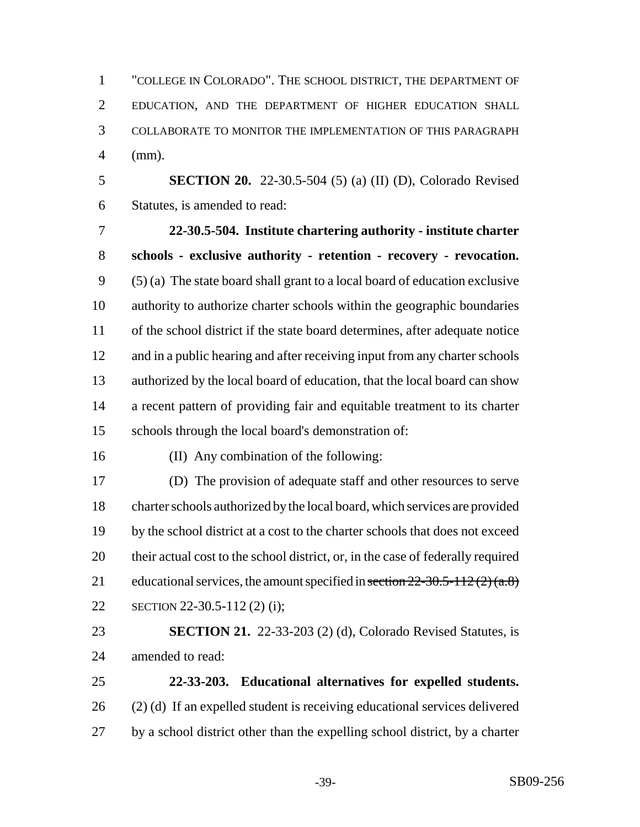"COLLEGE IN COLORADO". THE SCHOOL DISTRICT, THE DEPARTMENT OF EDUCATION, AND THE DEPARTMENT OF HIGHER EDUCATION SHALL COLLABORATE TO MONITOR THE IMPLEMENTATION OF THIS PARAGRAPH (mm).

 **SECTION 20.** 22-30.5-504 (5) (a) (II) (D), Colorado Revised Statutes, is amended to read:

 **22-30.5-504. Institute chartering authority - institute charter schools - exclusive authority - retention - recovery - revocation.** (5) (a) The state board shall grant to a local board of education exclusive authority to authorize charter schools within the geographic boundaries of the school district if the state board determines, after adequate notice and in a public hearing and after receiving input from any charter schools authorized by the local board of education, that the local board can show a recent pattern of providing fair and equitable treatment to its charter schools through the local board's demonstration of:

(II) Any combination of the following:

 (D) The provision of adequate staff and other resources to serve charter schools authorized by the local board, which services are provided by the school district at a cost to the charter schools that does not exceed their actual cost to the school district, or, in the case of federally required 21 educational services, the amount specified in section  $22-30.5-112(2)(a.8)$ SECTION 22-30.5-112 (2) (i);

 **SECTION 21.** 22-33-203 (2) (d), Colorado Revised Statutes, is amended to read:

 **22-33-203. Educational alternatives for expelled students.** (2) (d) If an expelled student is receiving educational services delivered by a school district other than the expelling school district, by a charter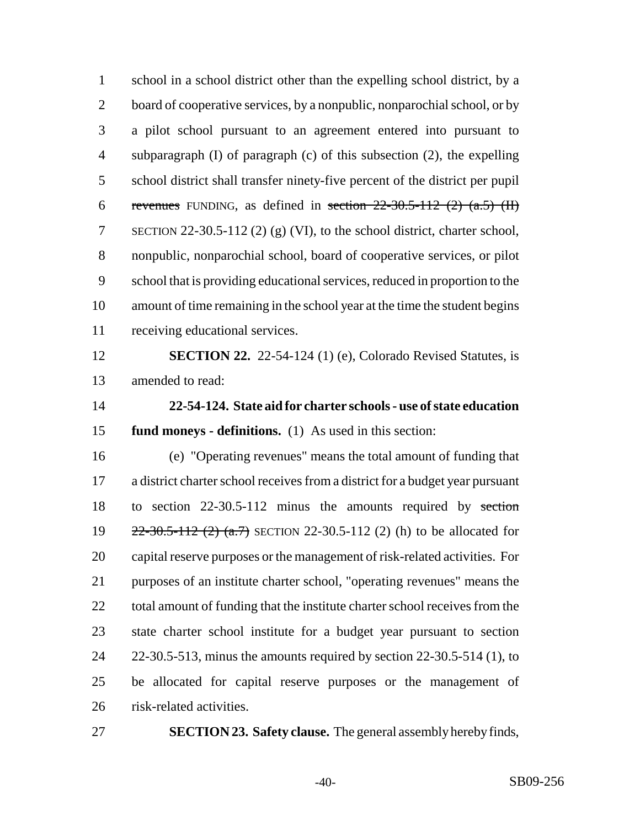school in a school district other than the expelling school district, by a 2 board of cooperative services, by a nonpublic, nonparochial school, or by a pilot school pursuant to an agreement entered into pursuant to subparagraph (I) of paragraph (c) of this subsection (2), the expelling school district shall transfer ninety-five percent of the district per pupil 6 revenues FUNDING, as defined in section  $22-30.5-112$  (2) (a.5) (II) SECTION 22-30.5-112 (2) (g) (VI), to the school district, charter school, nonpublic, nonparochial school, board of cooperative services, or pilot school that is providing educational services, reduced in proportion to the amount of time remaining in the school year at the time the student begins receiving educational services.

 **SECTION 22.** 22-54-124 (1) (e), Colorado Revised Statutes, is amended to read:

 **22-54-124. State aid for charter schools - use of state education fund moneys - definitions.** (1) As used in this section:

 (e) "Operating revenues" means the total amount of funding that a district charter school receives from a district for a budget year pursuant to section 22-30.5-112 minus the amounts required by section 19 22-30.5-112 (2) (a.7) SECTION 22-30.5-112 (2) (h) to be allocated for capital reserve purposes or the management of risk-related activities. For purposes of an institute charter school, "operating revenues" means the 22 total amount of funding that the institute charter school receives from the state charter school institute for a budget year pursuant to section 22-30.5-513, minus the amounts required by section 22-30.5-514 (1), to be allocated for capital reserve purposes or the management of risk-related activities.

**SECTION 23. Safety clause.** The general assembly hereby finds,